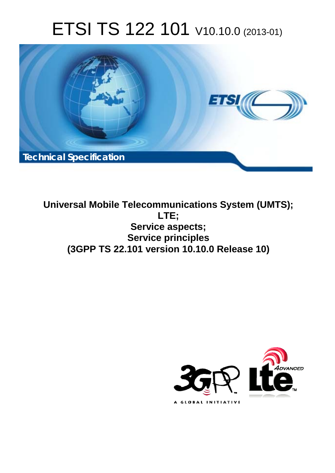# ETSI TS 122 101 V10.10.0 (2013-01)



**Universal Mobile Telecommunications System (UMTS); LTE; Service aspects; Service principles (3GPP TS 22.101 version 10.10.0 Release 10)** 

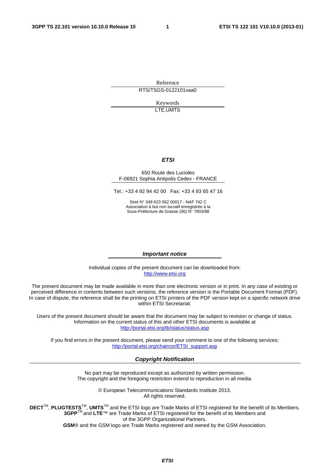Reference RTS/TSGS-0122101vaa0

> Keywords LTE,UMTS

#### *ETSI*

#### 650 Route des Lucioles F-06921 Sophia Antipolis Cedex - FRANCE

Tel.: +33 4 92 94 42 00 Fax: +33 4 93 65 47 16

Siret N° 348 623 562 00017 - NAF 742 C Association à but non lucratif enregistrée à la Sous-Préfecture de Grasse (06) N° 7803/88

#### *Important notice*

Individual copies of the present document can be downloaded from: [http://www.etsi.org](http://www.etsi.org/)

The present document may be made available in more than one electronic version or in print. In any case of existing or perceived difference in contents between such versions, the reference version is the Portable Document Format (PDF). In case of dispute, the reference shall be the printing on ETSI printers of the PDF version kept on a specific network drive within ETSI Secretariat.

Users of the present document should be aware that the document may be subject to revision or change of status. Information on the current status of this and other ETSI documents is available at <http://portal.etsi.org/tb/status/status.asp>

If you find errors in the present document, please send your comment to one of the following services: [http://portal.etsi.org/chaircor/ETSI\\_support.asp](http://portal.etsi.org/chaircor/ETSI_support.asp)

#### *Copyright Notification*

No part may be reproduced except as authorized by written permission. The copyright and the foregoing restriction extend to reproduction in all media.

> © European Telecommunications Standards Institute 2013. All rights reserved.

**DECT**TM, **PLUGTESTS**TM, **UMTS**TM and the ETSI logo are Trade Marks of ETSI registered for the benefit of its Members. **3GPP**TM and **LTE**™ are Trade Marks of ETSI registered for the benefit of its Members and of the 3GPP Organizational Partners.

**GSM**® and the GSM logo are Trade Marks registered and owned by the GSM Association.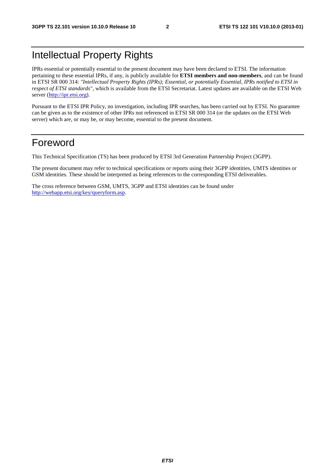# Intellectual Property Rights

IPRs essential or potentially essential to the present document may have been declared to ETSI. The information pertaining to these essential IPRs, if any, is publicly available for **ETSI members and non-members**, and can be found in ETSI SR 000 314: *"Intellectual Property Rights (IPRs); Essential, or potentially Essential, IPRs notified to ETSI in respect of ETSI standards"*, which is available from the ETSI Secretariat. Latest updates are available on the ETSI Web server [\(http://ipr.etsi.org](http://webapp.etsi.org/IPR/home.asp)).

Pursuant to the ETSI IPR Policy, no investigation, including IPR searches, has been carried out by ETSI. No guarantee can be given as to the existence of other IPRs not referenced in ETSI SR 000 314 (or the updates on the ETSI Web server) which are, or may be, or may become, essential to the present document.

# Foreword

This Technical Specification (TS) has been produced by ETSI 3rd Generation Partnership Project (3GPP).

The present document may refer to technical specifications or reports using their 3GPP identities, UMTS identities or GSM identities. These should be interpreted as being references to the corresponding ETSI deliverables.

The cross reference between GSM, UMTS, 3GPP and ETSI identities can be found under <http://webapp.etsi.org/key/queryform.asp>.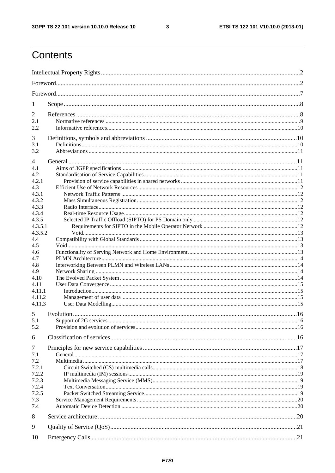$\mathbf{3}$ 

# Contents

| 1              |  |
|----------------|--|
| $\overline{2}$ |  |
| 2.1            |  |
| 2.2            |  |
| 3              |  |
| 3.1            |  |
| 3.2            |  |
|                |  |
| 4              |  |
| 4.1<br>4.2     |  |
| 4.2.1          |  |
| 4.3            |  |
| 4.3.1          |  |
| 4.3.2          |  |
| 4.3.3          |  |
| 4.3.4          |  |
| 4.3.5          |  |
| 4.3.5.1        |  |
| 4.3.5.2        |  |
| 4.4            |  |
| 4.5            |  |
| 4.6<br>4.7     |  |
| 4.8            |  |
| 4.9            |  |
| 4.10           |  |
| 4.11           |  |
| 4.11.1         |  |
| 4.11.2         |  |
| 4.11.3         |  |
| 5              |  |
| 5.1            |  |
| 5.2            |  |
|                |  |
| 6              |  |
| 7              |  |
| 7.1            |  |
| 7.2            |  |
| 7.2.1          |  |
| 7.2.2          |  |
| 7.2.3          |  |
| 7.2.4<br>7.2.5 |  |
| 7.3            |  |
| 7.4            |  |
|                |  |
| 8              |  |
| 9              |  |
| 10             |  |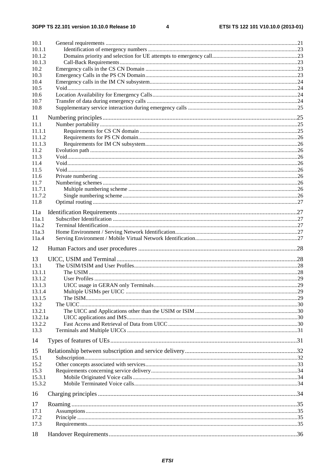$\overline{\mathbf{4}}$ 

| 10.1<br>10.1.1<br>10.1.2<br>10.1.3<br>10.2<br>10.3<br>10.4<br>10.5<br>10.6<br>10.7<br>10.8 |  |
|--------------------------------------------------------------------------------------------|--|
|                                                                                            |  |
| 11<br>11.1                                                                                 |  |
| 11.1.1                                                                                     |  |
| 11.1.2                                                                                     |  |
| 11.1.3                                                                                     |  |
| 11.2                                                                                       |  |
| 11.3                                                                                       |  |
| 11.4                                                                                       |  |
| 11.5                                                                                       |  |
| 11.6                                                                                       |  |
| 11.7                                                                                       |  |
| 11.7.1<br>11.7.2                                                                           |  |
| 11.8                                                                                       |  |
|                                                                                            |  |
| 11a                                                                                        |  |
| 11a.1                                                                                      |  |
| 11a.2                                                                                      |  |
| 11a.3<br>11a.4                                                                             |  |
|                                                                                            |  |
| 12                                                                                         |  |
| 13                                                                                         |  |
| 13.1                                                                                       |  |
| 13.1.1                                                                                     |  |
| 13.1.2                                                                                     |  |
| 13.1.3                                                                                     |  |
| 13.1.4                                                                                     |  |
| 13.1.5                                                                                     |  |
| 13.2                                                                                       |  |
| 13.2.1                                                                                     |  |
| 13.2.1a                                                                                    |  |
| 13.2.2<br>13.3                                                                             |  |
|                                                                                            |  |
| 14                                                                                         |  |
| 15                                                                                         |  |
| 15.1                                                                                       |  |
| 15.2                                                                                       |  |
| 15.3                                                                                       |  |
| 15.3.1                                                                                     |  |
| 15.3.2                                                                                     |  |
| 16                                                                                         |  |
| 17                                                                                         |  |
| 17.1                                                                                       |  |
| 17.2                                                                                       |  |
| 17.3                                                                                       |  |
| 18                                                                                         |  |
|                                                                                            |  |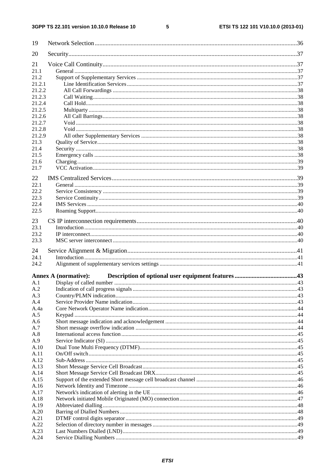#### $5\phantom{a}$

| 19           |                      |  |
|--------------|----------------------|--|
| 20           |                      |  |
| 21           |                      |  |
| 21.1         |                      |  |
| 21.2         |                      |  |
| 21.2.1       |                      |  |
| 21.2.2       |                      |  |
| 21.2.3       |                      |  |
| 21.2.4       |                      |  |
| 21.2.5       |                      |  |
| 21.2.6       |                      |  |
| 21.2.7       |                      |  |
| 21.2.8       |                      |  |
| 21.2.9       |                      |  |
| 21.3         |                      |  |
| 21.4         |                      |  |
| 21.5         |                      |  |
| 21.6         |                      |  |
| 21.7         |                      |  |
| 22           |                      |  |
| 22.1         |                      |  |
| 22.2         |                      |  |
| 22.3         |                      |  |
| 22.4         |                      |  |
| 22.5         |                      |  |
| 23           |                      |  |
| 23.1         |                      |  |
| 23.2         |                      |  |
| 23.3         |                      |  |
| 24           |                      |  |
| 24.1         |                      |  |
| 24.2         |                      |  |
|              | Annex A (normative): |  |
| A.1          |                      |  |
| A.2          |                      |  |
| A.3          |                      |  |
| A.4          |                      |  |
| A.4a         |                      |  |
| A.5          |                      |  |
| A.6          |                      |  |
| A.7          |                      |  |
| A.8          |                      |  |
| A.9          |                      |  |
| A.10         |                      |  |
| A.11         |                      |  |
| A.12<br>A.13 |                      |  |
| A.14         |                      |  |
| A.15         |                      |  |
| A.16         |                      |  |
| A.17         |                      |  |
| A.18         |                      |  |
| A.19         |                      |  |
| A.20         |                      |  |
| A.21         |                      |  |
| A.22         |                      |  |
| A.23         |                      |  |
| A.24         |                      |  |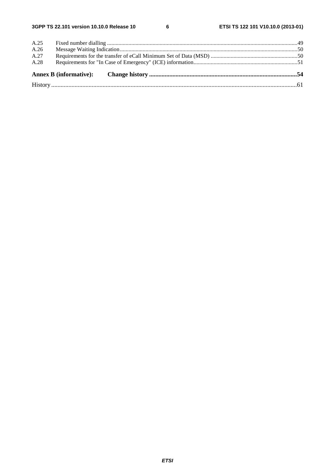$\bf 6$ 

| A.25 |  |  |
|------|--|--|
| A.26 |  |  |
| A.27 |  |  |
| A.28 |  |  |
|      |  |  |
|      |  |  |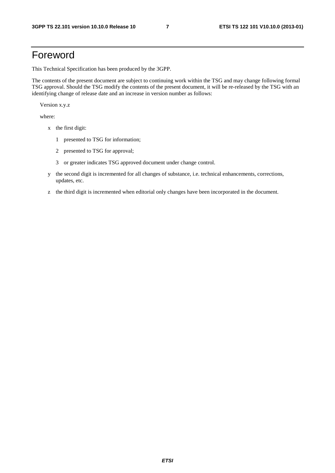# Foreword

This Technical Specification has been produced by the 3GPP.

The contents of the present document are subject to continuing work within the TSG and may change following formal TSG approval. Should the TSG modify the contents of the present document, it will be re-released by the TSG with an identifying change of release date and an increase in version number as follows:

Version x.y.z

where:

- x the first digit:
	- 1 presented to TSG for information;
	- 2 presented to TSG for approval;
	- 3 or greater indicates TSG approved document under change control.
- y the second digit is incremented for all changes of substance, i.e. technical enhancements, corrections, updates, etc.
- z the third digit is incremented when editorial only changes have been incorporated in the document.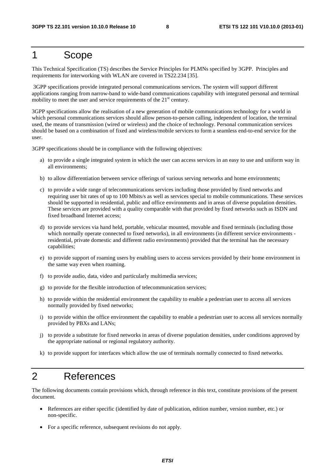# 1 Scope

This Technical Specification (TS) describes the Service Principles for PLMNs specified by 3GPP. Principles and requirements for interworking with WLAN are covered in TS22.234 [35].

 3GPP specifications provide integrated personal communications services. The system will support different applications ranging from narrow-band to wide-band communications capability with integrated personal and terminal mobility to meet the user and service requirements of the  $21<sup>st</sup>$  century.

3GPP specifications allow the realisation of a new generation of mobile communications technology for a world in which personal communications services should allow person-to-person calling, independent of location, the terminal used, the means of transmission (wired or wireless) and the choice of technology. Personal communication services should be based on a combination of fixed and wireless/mobile services to form a seamless end-to-end service for the user.

3GPP specifications should be in compliance with the following objectives:

- a) to provide a single integrated system in which the user can access services in an easy to use and uniform way in all environments;
- b) to allow differentiation between service offerings of various serving networks and home environments;
- c) to provide a wide range of telecommunications services including those provided by fixed networks and requiring user bit rates of up to 100 Mbits/s as well as services special to mobile communications. These services should be supported in residential, public and office environments and in areas of diverse population densities. These services are provided with a quality comparable with that provided by fixed networks such as ISDN and fixed broadband Internet access;
- d) to provide services via hand held, portable, vehicular mounted, movable and fixed terminals (including those which normally operate connected to fixed networks), in all environments (in different service environments residential, private domestic and different radio environments) provided that the terminal has the necessary capabilities;
- e) to provide support of roaming users by enabling users to access services provided by their home environment in the same way even when roaming.
- f) to provide audio, data, video and particularly multimedia services;
- g) to provide for the flexible introduction of telecommunication services;
- h) to provide within the residential environment the capability to enable a pedestrian user to access all services normally provided by fixed networks;
- i) to provide within the office environment the capability to enable a pedestrian user to access all services normally provided by PBXs and LANs;
- j) to provide a substitute for fixed networks in areas of diverse population densities, under conditions approved by the appropriate national or regional regulatory authority.
- k) to provide support for interfaces which allow the use of terminals normally connected to fixed networks.

# 2 References

The following documents contain provisions which, through reference in this text, constitute provisions of the present document.

- References are either specific (identified by date of publication, edition number, version number, etc.) or non-specific.
- For a specific reference, subsequent revisions do not apply.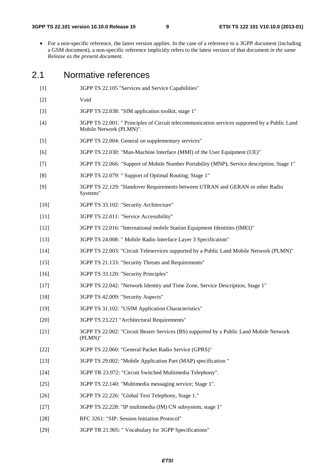• For a non-specific reference, the latest version applies. In the case of a reference to a 3GPP document (including a GSM document), a non-specific reference implicitly refers to the latest version of that document *in the same Release as the present document*.

### 2.1 Normative references

- [1] 3GPP TS 22.105 "Services and Service Capabilities"
- [2] Void
- [3] 3GPP TS 22.038: "SIM application toolkit, stage 1"
- [4] 3GPP TS 22.001: " Principles of Circuit telecommunication services supported by a Public Land Mobile Network (PLMN)".
- [5] 3GPP TS 22.004: General on supplementary services"
- [6] 3GPP TS 22.030: "Man-Machine Interface (MMI) of the User Equipment (UE)"
- [7] 3GPP TS 22.066: "Support of Mobile Number Portability (MNP); Service description; Stage 1"
- [8] 3GPP TS 22.079: " Support of Optimal Routing; Stage 1"
- [9] 3GPP TS 22.129: "Handover Requirements between UTRAN and GERAN or other Radio Systems"
- [10] 3GPP TS 33.102: "Security Architecture"
- [11] 3GPP TS 22.011: "Service Accessibility"
- [12] 3GPP TS 22.016: "International mobile Station Equipment Identities (IMEI)"
- [13] 3GPP TS 24.008: " Mobile Radio Interface Layer 3 Specification"
- [14] 3GPP TS 22.003: "Circuit Teleservices supported by a Public Land Mobile Network (PLMN)"
- [15] 3GPP TS 21.133: "Security Threats and Requirements"
- [16] 3GPP TS 33.120: "Security Principles"
- [17] 3GPP TS 22.042: "Network Identity and Time Zone, Service Description, Stage 1"
- [18] 3GPP TS 42.009: "Security Aspects"
- [19] 3GPP TS 31.102: "USIM Application Characteristics"
- [20] 3GPP TS 23.221 "Architectural Requirements"
- [21] 3GPP TS 22.002: "Circuit Bearer Services (BS) supported by a Public Land Mobile Network (PLMN)"
- [22] 3GPP TS 22.060: "General Packet Radio Service (GPRS)"
- [23] 3GPP TS 29.002: "Mobile Application Part (MAP) specification "
- [24] 3GPP TR 23.972: "Circuit Switched Multimedia Telephony".
- [25] 3GPP TS 22.140: "Multimedia messaging service; Stage 1".
- [26] 3GPP TS 22.226: "Global Text Telephony, Stage 1."
- [27] 3GPP TS 22.228: "IP multimedia (IM) CN subsystem, stage 1"
- [28] RFC 3261: "SIP: Session Initiation Protocol"
- [29] 3GPP TR 21.905: " Vocabulary for 3GPP Specifications"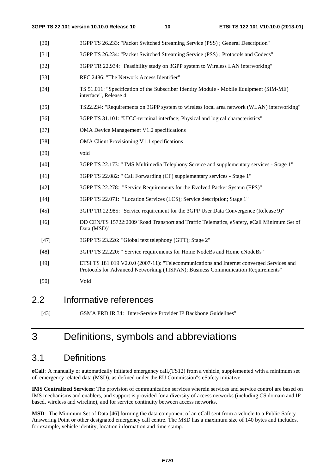[30] 3GPP TS 26.233: "Packet Switched Streaming Service (PSS) ; General Description" [31] 3GPP TS 26.234: "Packet Switched Streaming Service (PSS) ; Protocols and Codecs" [32] 3GPP TR 22.934: "Feasibility study on 3GPP system to Wireless LAN interworking" [33] RFC 2486: "The Network Access Identifier" [34] TS 51.011: "Specification of the Subscriber Identity Module - Mobile Equipment (SIM-ME) interface", Release 4 [35] TS22.234: "Requirements on 3GPP system to wireless local area network (WLAN) interworking" [36] 3GPP TS 31.101: "UICC-terminal interface; Physical and logical characteristics" [37] OMA Device Management V1.2 specifications [38] OMA Client Provisioning V1.1 specifications [39] void [40] 3GPP TS 22.173: " IMS Multimedia Telephony Service and supplementary services - Stage 1" [41] 3GPP TS 22.082: " Call Forwarding (CF) supplementary services - Stage 1" [42] 3GPP TS 22.278: "Service Requirements for the Evolved Packet System (EPS)" [44] 3GPP TS 22.071: "Location Services (LCS); Service description; Stage 1" [45] 3GPP TR 22.985: "Service requirement for the 3GPP User Data Convergence (Release 9)" [46] DD CEN/TS 15722:2009 'Road Transport and Traffic Telematics, eSafety, eCall Minimum Set of Data (MSD)' [47] 3GPP TS 23.226: "Global text telephony (GTT); Stage 2" [48] 3GPP TS 22.220: " Service requirements for Home NodeBs and Home eNodeBs" [49] ETSI TS 181 019 V2.0.0 (2007-11): "Telecommunications and Internet converged Services and Protocols for Advanced Networking (TISPAN); Business Communication Requirements" [50] Void

# 2.2 Informative references

[43] GSMA PRD IR.34: "Inter-Service Provider IP Backbone Guidelines"

# 3 Definitions, symbols and abbreviations

# 3.1 Definitions

**eCall**: A manually or automatically initiated emergency call,(TS12) from a vehicle, supplemented with a minimum set of emergency related data (MSD), as defined under the EU Commission"s eSafety initiative.

**IMS Centralized Services:** The provision of communication services wherein services and service control are based on IMS mechanisms and enablers, and support is provided for a diversity of access networks (including CS domain and IP based, wireless and wireline), and for service continuity between access networks.

**MSD**: The Minimum Set of Data [46] forming the data component of an eCall sent from a vehicle to a Public Safety Answering Point or other designated emergency call centre. The MSD has a maximum size of 140 bytes and includes, for example, vehicle identity, location information and time-stamp.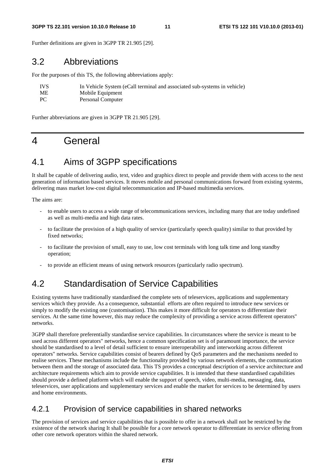Further definitions are given in 3GPP TR 21.905 [29].

### 3.2 Abbreviations

For the purposes of this TS, the following abbreviations apply:

| <b>IVS</b> | In Vehicle System (eCall terminal and associated sub-systems in vehicle) |
|------------|--------------------------------------------------------------------------|
| ME         | Mobile Equipment                                                         |
| PC.        | Personal Computer                                                        |

Further abbreviations are given in 3GPP TR 21.905 [29].

# 4 General

# 4.1 Aims of 3GPP specifications

It shall be capable of delivering audio, text, video and graphics direct to people and provide them with access to the next generation of information based services. It moves mobile and personal communications forward from existing systems, delivering mass market low-cost digital telecommunication and IP-based multimedia services.

The aims are:

- to enable users to access a wide range of telecommunications services, including many that are today undefined as well as multi-media and high data rates.
- to facilitate the provision of a high quality of service (particularly speech quality) similar to that provided by fixed networks;
- to facilitate the provision of small, easy to use, low cost terminals with long talk time and long standby operation;
- to provide an efficient means of using network resources (particularly radio spectrum).

# 4.2 Standardisation of Service Capabilities

Existing systems have traditionally standardised the complete sets of teleservices, applications and supplementary services which they provide. As a consequence, substantial efforts are often required to introduce new services or simply to modify the existing one (customisation). This makes it more difficult for operators to differentiate their services. At the same time however, this may reduce the complexity of providing a service across different operators" networks.

3GPP shall therefore preferentially standardise service capabilities. In circumstances where the service is meant to be used across different operators" networks, hence a common specification set is of paramount importance, the service should be standardised to a level of detail sufficient to ensure interoperability and interworking across different operators" networks. Service capabilities consist of bearers defined by QoS parameters and the mechanisms needed to realise services. These mechanisms include the functionality provided by various network elements, the communication between them and the storage of associated data. This TS provides a conceptual description of a service architecture and architecture requirements which aim to provide service capabilities. It is intended that these standardised capabilities should provide a defined platform which will enable the support of speech, video, multi-media, messaging, data, teleservices, user applications and supplementary services and enable the market for services to be determined by users and home environments.

#### 4.2.1 Provision of service capabilities in shared networks

The provision of services and service capabilities that is possible to offer in a network shall not be restricted by the existence of the network sharing It shall be possible for a core network operator to differentiate its service offering from other core network operators within the shared network.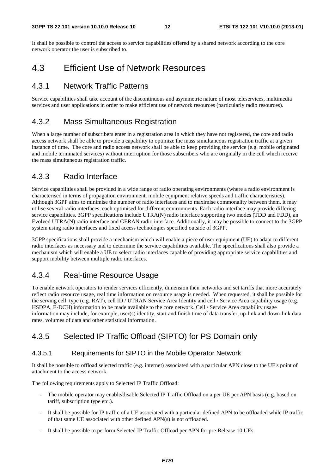It shall be possible to control the access to service capabilities offered by a shared network according to the core network operator the user is subscribed to.

# 4.3 Efficient Use of Network Resources

#### 4.3.1 Network Traffic Patterns

Service capabilities shall take account of the discontinuous and asymmetric nature of most teleservices, multimedia services and user applications in order to make efficient use of network resources (particularly radio resources).

### 4.3.2 Mass Simultaneous Registration

When a large number of subscribers enter in a registration area in which they have not registered, the core and radio access network shall be able to provide a capability to optimize the mass simultaneous registration traffic at a given instance of time. The core and radio access network shall be able to keep providing the service (e.g. mobile originated and mobile terminated services) without interruption for those subscribers who are originally in the cell which receive the mass simultaneous registration traffic.

#### 4.3.3 Radio Interface

Service capabilities shall be provided in a wide range of radio operating environments (where a radio environment is characterised in terms of propagation environment, mobile equipment relative speeds and traffic characteristics). Although 3GPP aims to minimise the number of radio interfaces and to maximise commonality between them, it may utilise several radio interfaces, each optimised for different environments. Each radio interface may provide differing service capabilities. 3GPP specifications include UTRA(N) radio interface supporting two modes (TDD and FDD), an Evolved UTRA(N) radio interface and GERAN radio interface. Additionally, it may be possible to connect to the 3GPP system using radio interfaces and fixed access technologies specified outside of 3GPP.

3GPP specifications shall provide a mechanism which will enable a piece of user equipment (UE) to adapt to different radio interfaces as necessary and to determine the service capabilities available. The specifications shall also provide a mechanism which will enable a UE to select radio interfaces capable of providing appropriate service capabilities and support mobility between multiple radio interfaces.

### 4.3.4 Real-time Resource Usage

To enable network operators to render services efficiently, dimension their networks and set tariffs that more accurately reflect radio resource usage, real time information on resource usage is needed. When requested, it shall be possible for the serving cell type (e.g. RAT), cell ID / UTRAN Service Area Identity and cell / Service Area capability usage (e.g. HSDPA, E-DCH) information to be made available to the core network. Cell / Service Area capability usage information may include, for example, user(s) identity, start and finish time of data transfer, up-link and down-link data rates, volumes of data and other statistical information.

### 4.3.5 Selected IP Traffic Offload (SIPTO) for PS Domain only

#### 4.3.5.1 Requirements for SIPTO in the Mobile Operator Network

It shall be possible to offload selected traffic (e.g. internet) associated with a particular APN close to the UE's point of attachment to the access network.

The following requirements apply to Selected IP Traffic Offload:

- The mobile operator may enable/disable Selected IP Traffic Offload on a per UE per APN basis (e.g. based on tariff, subscription type etc.).
- It shall be possible for IP traffic of a UE associated with a particular defined APN to be offloaded while IP traffic of that same UE associated with other defined APN(s) is not offloaded.
- It shall be possible to perform Selected IP Traffic Offload per APN for pre-Release 10 UEs.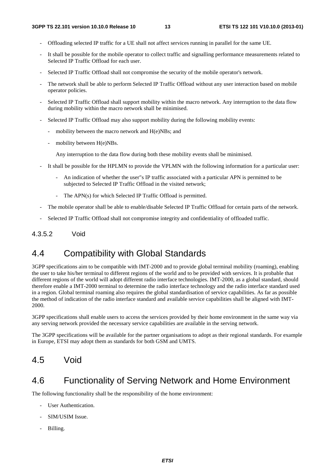- Offloading selected IP traffic for a UE shall not affect services running in parallel for the same UE.
- It shall be possible for the mobile operator to collect traffic and signalling performance measurements related to Selected IP Traffic Offload for each user.
- Selected IP Traffic Offload shall not compromise the security of the mobile operator's network.
- The network shall be able to perform Selected IP Traffic Offload without any user interaction based on mobile operator policies.
- Selected IP Traffic Offload shall support mobility within the macro network. Any interruption to the data flow during mobility within the macro network shall be minimised.
- Selected IP Traffic Offload may also support mobility during the following mobility events:
	- mobility between the macro network and H(e)NBs; and
	- mobility between H(e)NBs.

Any interruption to the data flow during both these mobility events shall be minimised.

- It shall be possible for the HPLMN to provide the VPLMN with the following information for a particular user:
	- An indication of whether the user"s IP traffic associated with a particular APN is permitted to be subjected to Selected IP Traffic Offload in the visited network;
	- The APN(s) for which Selected IP Traffic Offload is permitted.
- The mobile operator shall be able to enable/disable Selected IP Traffic Offload for certain parts of the network.
- Selected IP Traffic Offload shall not compromise integrity and confidentiality of offloaded traffic.

#### 4.3.5.2 Void

# 4.4 Compatibility with Global Standards

3GPP specifications aim to be compatible with IMT-2000 and to provide global terminal mobility (roaming), enabling the user to take his/her terminal to different regions of the world and to be provided with services. It is probable that different regions of the world will adopt different radio interface technologies. IMT-2000, as a global standard, should therefore enable a IMT-2000 terminal to determine the radio interface technology and the radio interface standard used in a region. Global terminal roaming also requires the global standardisation of service capabilities. As far as possible the method of indication of the radio interface standard and available service capabilities shall be aligned with IMT-2000.

3GPP specifications shall enable users to access the services provided by their home environment in the same way via any serving network provided the necessary service capabilities are available in the serving network.

The 3GPP specifications will be available for the partner organisations to adopt as their regional standards. For example in Europe, ETSI may adopt them as standards for both GSM and UMTS.

# 4.5 Void

# 4.6 Functionality of Serving Network and Home Environment

The following functionality shall be the responsibility of the home environment:

- User Authentication.
- SIM/USIM Issue.
- Billing.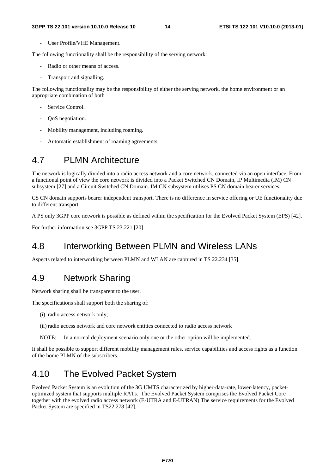User Profile/VHE Management.

The following functionality shall be the responsibility of the serving network:

- Radio or other means of access.
- Transport and signalling.

The following functionality may be the responsibility of either the serving network, the home environment or an appropriate combination of both

- Service Control.
- QoS negotiation.
- Mobility management, including roaming.
- Automatic establishment of roaming agreements.

### 4.7 PLMN Architecture

The network is logically divided into a radio access network and a core network, connected via an open interface. From a functional point of view the core network is divided into a Packet Switched CN Domain, IP Multimedia (IM) CN subsystem [27] and a Circuit Switched CN Domain. IM CN subsystem utilises PS CN domain bearer services.

CS CN domain supports bearer independent transport. There is no difference in service offering or UE functionality due to different transport.

A PS only 3GPP core network is possible as defined within the specification for the Evolved Packet System (EPS) [42].

For further information see 3GPP TS 23.221 [20].

# 4.8 Interworking Between PLMN and Wireless LANs

Aspects related to interworking between PLMN and WLAN are captured in TS 22.234 [35].

### 4.9 Network Sharing

Network sharing shall be transparent to the user.

The specifications shall support both the sharing of:

- (i) radio access network only;
- (ii) radio access network and core network entities connected to radio access network

NOTE: In a normal deployment scenario only one or the other option will be implemented.

It shall be possible to support different mobility management rules, service capabilities and access rights as a function of the home PLMN of the subscribers.

### 4.10 The Evolved Packet System

Evolved Packet System is an evolution of the 3G UMTS characterized by higher-data-rate, lower-latency, packetoptimized system that supports multiple RATs. The Evolved Packet System comprises the Evolved Packet Core together with the evolved radio access network (E-UTRA and E-UTRAN).The service requirements for the Evolved Packet System are specified in TS22.278 [42].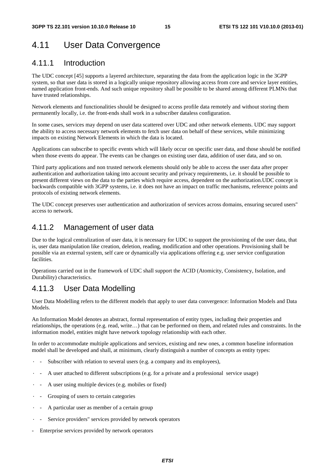# 4.11 User Data Convergence

### 4.11.1 Introduction

The UDC concept [45] supports a layered architecture, separating the data from the application logic in the 3GPP system, so that user data is stored in a logically unique repository allowing access from core and service layer entities, named application front-ends. And such unique repository shall be possible to be shared among different PLMNs that have trusted relationships.

Network elements and functionalities should be designed to access profile data remotely and without storing them permanently locally, i.e. the front-ends shall work in a subscriber dataless configuration.

In some cases, services may depend on user data scattered over UDC and other network elements. UDC may support the ability to access necessary network elements to fetch user data on behalf of these services, while minimizing impacts on existing Network Elements in which the data is located.

Applications can subscribe to specific events which will likely occur on specific user data, and those should be notified when those events do appear. The events can be changes on existing user data, addition of user data, and so on.

Third party applications and non trusted network elements should only be able to access the user data after proper authentication and authorization taking into account security and privacy requirements, i.e. it should be possible to present different views on the data to the parties which require access, dependent on the authorization.UDC concept is backwards compatible with 3GPP systems, i.e. it does not have an impact on traffic mechanisms, reference points and protocols of existing network elements.

The UDC concept preserves user authentication and authorization of services across domains, ensuring secured users" access to network.

#### 4.11.2 Management of user data

Due to the logical centralization of user data, it is necessary for UDC to support the provisioning of the user data, that is, user data manipulation like creation, deletion, reading, modification and other operations. Provisioning shall be possible via an external system, self care or dynamically via applications offering e.g. user service configuration facilities.

Operations carried out in the framework of UDC shall support the ACID (Atomicity, Consistency, Isolation, and Durability) characteristics.

### 4.11.3 User Data Modelling

User Data Modelling refers to the different models that apply to user data convergence: Information Models and Data Models.

An Information Model denotes an abstract, formal representation of entity types, including their properties and relationships, the operations (e.g. read, write…) that can be performed on them, and related rules and constraints. In the information model, entities might have network topology relationship with each other.

In order to accommodate multiple applications and services, existing and new ones, a common baseline information model shall be developed and shall, at minimum, clearly distinguish a number of concepts as entity types:

- Subscriber with relation to several users (e.g. a company and its employees),
- · A user attached to different subscriptions (e.g. for a private and a professional service usage)
- A user using multiple devices (e.g. mobiles or fixed)
- Grouping of users to certain categories
- A particular user as member of a certain group
- Service providers" services provided by network operators
- Enterprise services provided by network operators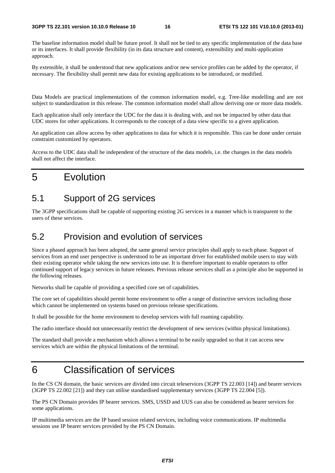The baseline information model shall be future proof. It shall not be tied to any specific implementation of the data base or its interfaces. It shall provide flexibility (in its data structure and content), extensibility and multi-application approach.

By extensible, it shall be understood that new applications and/or new service profiles can be added by the operator, if necessary. The flexibility shall permit new data for existing applications to be introduced, or modified.

Data Models are practical implementations of the common information model, e.g. Tree-like modelling and are not subject to standardization in this release. The common information model shall allow deriving one or more data models.

Each application shall only interface the UDC for the data it is dealing with, and not be impacted by other data that UDC stores for other applications. It corresponds to the concept of a data view specific to a given application.

An application can allow access by other applications to data for which it is responsible. This can be done under certain constraint customized by operators.

Access to the UDC data shall be independent of the structure of the data models, i.e. the changes in the data models shall not affect the interface.

# 5 Evolution

### 5.1 Support of 2G services

The 3GPP specifications shall be capable of supporting existing 2G services in a manner which is transparent to the users of these services.

### 5.2 Provision and evolution of services

Since a phased approach has been adopted, the same general service principles shall apply to each phase. Support of services from an end user perspective is understood to be an important driver for established mobile users to stay with their existing operator while taking the new services into use. It is therefore important to enable operators to offer continued support of legacy services in future releases. Previous release services shall as a principle also be supported in the following releases.

Networks shall be capable of providing a specified core set of capabilities.

The core set of capabilities should permit home environment to offer a range of distinctive services including those which cannot be implemented on systems based on previous release specifications.

It shall be possible for the home environment to develop services with full roaming capability.

The radio interface should not unnecessarily restrict the development of new services (within physical limitations).

The standard shall provide a mechanism which allows a terminal to be easily upgraded so that it can access new services which are within the physical limitations of the terminal.

# 6 Classification of services

In the CS CN domain, the basic services are divided into circuit teleservices (3GPP TS 22.003 [14]) and bearer services (3GPP TS 22.002 [21]) and they can utilise standardised supplementary services (3GPP TS 22.004 [5]).

The PS CN Domain provides IP bearer services. SMS, USSD and UUS can also be considered as bearer services for some applications.

IP multimedia services are the IP based session related services, including voice communications. IP multimedia sessions use IP bearer services provided by the PS CN Domain.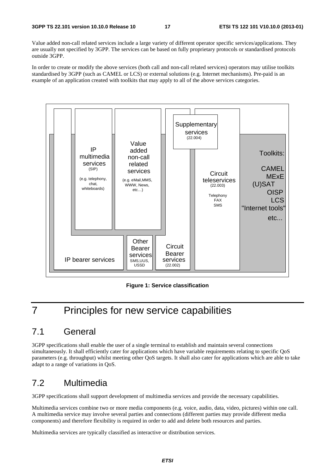Value added non-call related services include a large variety of different operator specific services/applications. They are usually not specified by 3GPP. The services can be based on fully proprietary protocols or standardised protocols outside 3GPP.

In order to create or modify the above services (both call and non-call related services) operators may utilise toolkits standardised by 3GPP (such as CAMEL or LCS) or external solutions (e.g. Internet mechanisms). Pre-paid is an example of an application created with toolkits that may apply to all of the above services categories.



**Figure 1: Service classification** 

# 7 Principles for new service capabilities

# 7.1 General

3GPP specifications shall enable the user of a single terminal to establish and maintain several connections simultaneously. It shall efficiently cater for applications which have variable requirements relating to specific QoS parameters (e.g. throughput) whilst meeting other QoS targets. It shall also cater for applications which are able to take adapt to a range of variations in QoS.

# 7.2 Multimedia

3GPP specifications shall support development of multimedia services and provide the necessary capabilities.

Multimedia services combine two or more media components (e.g. voice, audio, data, video, pictures) within one call. A multimedia service may involve several parties and connections (different parties may provide different media components) and therefore flexibility is required in order to add and delete both resources and parties.

Multimedia services are typically classified as interactive or distribution services.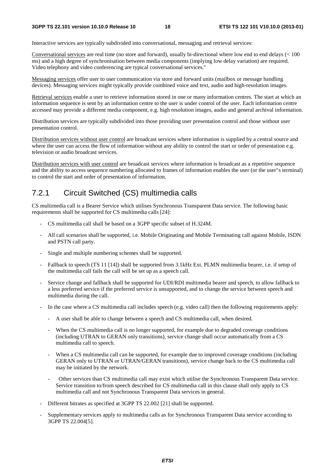Interactive services are typically subdivided into conversational, messaging and retrieval services:

Conversational services are real time (no store and forward), usually bi-directional where low end to end delays (< 100 ms) and a high degree of synchronisation between media components (implying low delay variation) are required. Video telephony and video conferencing are typical conversational services."

Messaging services offer user to user communication via store and forward units (mailbox or message handling devices). Messaging services might typically provide combined voice and text, audio and high-resolution images.

Retrieval services enable a user to retrieve information stored in one or many information centres. The start at which an information sequence is sent by an information centre to the user is under control of the user. Each information centre accessed may provide a different media component, e.g. high resolution images, audio and general archival information.

Distribution services are typically subdivided into those providing user presentation control and those without user presentation control.

Distribution services without user control are broadcast services where information is supplied by a central source and where the user can access the flow of information without any ability to control the start or order of presentation e.g. television or audio broadcast services.

Distribution services with user control are broadcast services where information is broadcast as a repetitive sequence and the ability to access sequence numbering allocated to frames of information enables the user (or the user"s terminal) to control the start and order of presentation of information.

#### 7.2.1 Circuit Switched (CS) multimedia calls

CS multimedia call is a Bearer Service which utilises Synchronous Transparent Data service. The following basic requirements shall be supported for CS multimedia calls [24]:

- CS multimedia call shall be based on a 3GPP specific subset of H.324M.
- All call scenarios shall be supported, i.e. Mobile Originating and Mobile Terminating call against Mobile, ISDN and PSTN call party.
- Single and multiple numbering schemes shall be supported.
- Fallback to speech (TS 11 [14]) shall be supported from 3.1kHz Ext. PLMN multimedia bearer, i.e. if setup of the multimedia call fails the call will be set up as a speech call.
- Service change and fallback shall be supported for UDI/RDI multimedia bearer and speech, to allow fallback to a less preferred service if the preferred service is unsupported, and to change the service between speech and multimedia during the call.
- In the case where a CS multimedia call includes speech (e.g. video call) then the following requirements apply:
	- A user shall be able to change between a speech and CS multimedia call, when desired.
	- When the CS multimedia call is no longer supported, for example due to degraded coverage conditions (including UTRAN to GERAN only transitions), service change shall occur automatically from a CS multimedia call to speech.
	- When a CS multimedia call can be supported, for example due to improved coverage conditions (including GERAN only to UTRAN or UTRAN/GERAN transitions), service change back to the CS multimedia call may be initiated by the network.
	- Other services than CS multimedia call may exist which utilise the Synchronous Transparent Data service. Service transition to/from speech described for CS multimedia call in this clause shall only apply to CS multimedia call and not Synchronous Transparent Data services in general.
- Different bitrates as specified at 3GPP TS 22.002 [21] shall be supported.
- Supplementary services apply to multimedia calls as for Synchronous Transparent Data service according to 3GPP TS 22.004[5].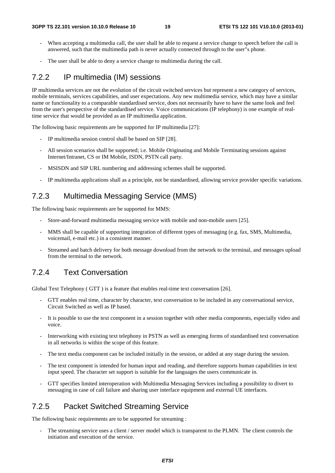- When accepting a multimedia call, the user shall be able to request a service change to speech before the call is answered, such that the multimedia path is never actually connected through to the user"s phone.
- The user shall be able to deny a service change to multimedia during the call.

#### 7.2.2 IP multimedia (IM) sessions

IP multimedia services are not the evolution of the circuit switched services but represent a new category of services, mobile terminals, services capabilities, and user expectations. Any new multimedia service, which may have a similar name or functionality to a comparable standardised service, does not necessarily have to have the same look and feel from the user's perspective of the standardised service. Voice communications (IP telephony) is one example of realtime service that would be provided as an IP multimedia application.

The following basic requirements are be supported for IP multimedia [27]:

- IP multimedia session control shall be based on SIP [28].
- All session scenarios shall be supported; i.e. Mobile Originating and Mobile Terminating sessions against Internet/Intranet, CS or IM Mobile, ISDN, PSTN call party.
- MSISDN and SIP URL numbering and addressing schemes shall be supported.
- IP multimedia applications shall as a principle, not be standardised, allowing service provider specific variations.

### 7.2.3 Multimedia Messaging Service (MMS)

The following basic requirements are be supported for MMS:

- Store-and-forward multimedia messaging service with mobile and non-mobile users [25].
- MMS shall be capable of supporting integration of different types of messaging (e.g. fax, SMS, Multimedia, voicemail, e-mail etc.) in a consistent manner.
- Streamed and batch delivery for both message download from the network to the terminal, and messages upload from the terminal to the network.

#### 7.2.4 Text Conversation

Global Text Telephony ( GTT ) is a feature that enables real-time text conversation [26].

- GTT enables real time, character by character, text conversation to be included in any conversational service, Circuit Switched as well as IP based.
- It is possible to use the text component in a session together with other media components, especially video and voice.
- Interworking with existing text telephony in PSTN as well as emerging forms of standardised text conversation in all networks is within the scope of this feature.
- The text media component can be included initially in the session, or added at any stage during the session.
- The text component is intended for human input and reading, and therefore supports human capabilities in text input speed. The character set support is suitable for the languages the users communicate in.
- GTT specifies limited interoperation with Multimedia Messaging Services including a possibility to divert to messaging in case of call failure and sharing user interface equipment and external UE interfaces.

### 7.2.5 Packet Switched Streaming Service

The following basic requirements are to be supported for streaming :

The streaming service uses a client / server model which is transparent to the PLMN. The client controls the initiation and execution of the service.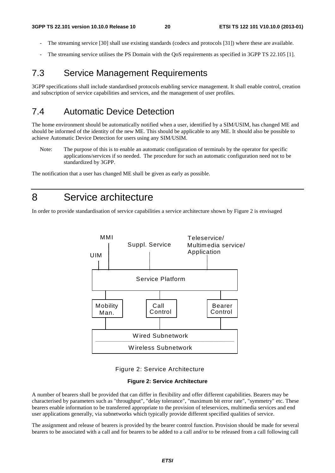- The streaming service [30] shall use existing standards (codecs and protocols [31]) where these are available.
- The streaming service utilises the PS Domain with the QoS requirements as specified in 3GPP TS 22.105 [1].

# 7.3 Service Management Requirements

3GPP specifications shall include standardised protocols enabling service management. It shall enable control, creation and subscription of service capabilities and services, and the management of user profiles.

## 7.4 Automatic Device Detection

The home environment should be automatically notified when a user, identified by a SIM/USIM, has changed ME and should be informed of the identity of the new ME. This should be applicable to any ME. It should also be possible to achieve Automatic Device Detection for users using any SIM/USIM.

Note: The purpose of this is to enable an automatic configuration of terminals by the operator for specific applications/services if so needed. The procedure for such an automatic configuration need not to be standardized by 3GPP.

The notification that a user has changed ME shall be given as early as possible.

8 Service architecture

In order to provide standardisation of service capabilities a service architecture shown by Figure 2 is envisaged



Figure 2: Service Architecture

#### **Figure 2: Service Architecture**

A number of bearers shall be provided that can differ in flexibility and offer different capabilities. Bearers may be characterised by parameters such as "throughput", "delay tolerance", "maximum bit error rate", "symmetry" etc. These bearers enable information to be transferred appropriate to the provision of teleservices, multimedia services and end user applications generally, via subnetworks which typically provide different specified qualities of service.

The assignment and release of bearers is provided by the bearer control function. Provision should be made for several bearers to be associated with a call and for bearers to be added to a call and/or to be released from a call following call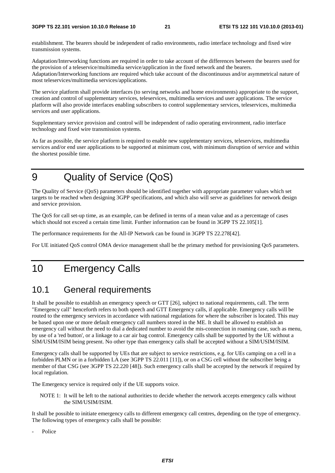establishment. The bearers should be independent of radio environments, radio interface technology and fixed wire transmission systems.

Adaptation/Interworking functions are required in order to take account of the differences between the bearers used for the provision of a teleservice/multimedia service/application in the fixed network and the bearers. Adaptation/Interworking functions are required which take account of the discontinuous and/or asymmetrical nature of most teleservices/multimedia services/applications.

The service platform shall provide interfaces (to serving networks and home environments) appropriate to the support, creation and control of supplementary services, teleservices, multimedia services and user applications. The service platform will also provide interfaces enabling subscribers to control supplementary services, teleservices, multimedia services and user applications.

Supplementary service provision and control will be independent of radio operating environment, radio interface technology and fixed wire transmission systems.

As far as possible, the service platform is required to enable new supplementary services, teleservices, multimedia services and/or end user applications to be supported at minimum cost, with minimum disruption of service and within the shortest possible time.

# 9 Quality of Service (QoS)

The Quality of Service (QoS) parameters should be identified together with appropriate parameter values which set targets to be reached when designing 3GPP specifications, and which also will serve as guidelines for network design and service provision.

The QoS for call set-up time, as an example, can be defined in terms of a mean value and as a percentage of cases which should not exceed a certain time limit. Further information can be found in 3GPP TS 22.105[1].

The performance requirements for the All-IP Network can be found in 3GPP TS 22.278[42].

For UE initiated QoS control OMA device management shall be the primary method for provisioning QoS parameters.

# 10 Emergency Calls

### 10.1 General requirements

It shall be possible to establish an emergency speech or GTT [26], subject to national requirements, call. The term "Emergency call" henceforth refers to both speech and GTT Emergency calls, if applicable. Emergency calls will be routed to the emergency services in accordance with national regulations for where the subscriber is located. This may be based upon one or more default emergency call numbers stored in the ME. It shall be allowed to establish an emergency call without the need to dial a dedicated number to avoid the mis-connection in roaming case, such as menu, by use of a 'red button', or a linkage to a car air bag control. Emergency calls shall be supported by the UE without a SIM/USIM/ISIM being present. No other type than emergency calls shall be accepted without a SIM/USIM/ISIM.

Emergency calls shall be supported by UEs that are subject to service restrictions, e.g. for UEs camping on a cell in a forbidden PLMN or in a forbidden LA (see 3GPP TS 22.011 [11]), or on a CSG cell without the subscriber being a member of that CSG (see 3GPP TS 22.220 [48]). Such emergency calls shall be accepted by the network if required by local regulation.

The Emergency service is required only if the UE supports voice.

NOTE 1: It will be left to the national authorities to decide whether the network accepts emergency calls without the SIM/USIM/ISIM.

It shall be possible to initiate emergency calls to different emergency call centres, depending on the type of emergency. The following types of emergency calls shall be possible:

Police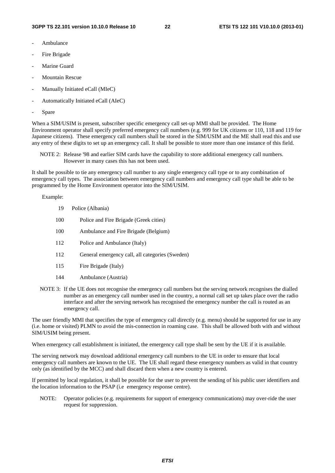- Ambulance
- Fire Brigade
- Marine Guard
- Mountain Rescue
- Manually Initiated eCall (MIeC)
- Automatically Initiated eCall (AIeC)
- Spare

When a SIM/USIM is present, subscriber specific emergency call set-up MMI shall be provided. The Home Environment operator shall specify preferred emergency call numbers (e.g. 999 for UK citizens or 110, 118 and 119 for Japanese citizens). These emergency call numbers shall be stored in the SIM/USIM and the ME shall read this and use any entry of these digits to set up an emergency call. It shall be possible to store more than one instance of this field.

NOTE 2: Release '98 and earlier SIM cards have the capability to store additional emergency call numbers. However in many cases this has not been used.

It shall be possible to tie any emergency call number to any single emergency call type or to any combination of emergency call types. The association between emergency call numbers and emergency call type shall be able to be programmed by the Home Environment operator into the SIM/USIM.

Example:

- 19 Police (Albania)
- 100 Police and Fire Brigade (Greek cities)
- 100 Ambulance and Fire Brigade (Belgium)
- 112 Police and Ambulance (Italy)
- 112 General emergency call, all categories (Sweden)
- 115 Fire Brigade (Italy)
- 144 Ambulance (Austria)
- NOTE 3: If the UE does not recognise the emergency call numbers but the serving network recognises the dialled number as an emergency call number used in the country, a normal call set up takes place over the radio interface and after the serving network has recognised the emergency number the call is routed as an emergency call.

The user friendly MMI that specifies the type of emergency call directly (e.g. menu) should be supported for use in any (i.e. home or visited) PLMN to avoid the mis-connection in roaming case. This shall be allowed both with and without SIM/USIM being present.

When emergency call establishment is initiated, the emergency call type shall be sent by the UE if it is available.

The serving network may download additional emergency call numbers to the UE in order to ensure that local emergency call numbers are known to the UE. The UE shall regard these emergency numbers as valid in that country only (as identified by the MCC) and shall discard them when a new country is entered.

If permitted by local regulation, it shall be possible for the user to prevent the sending of his public user identifiers and the location information to the PSAP (i.e emergency response centre).

NOTE: Operator policies (e.g. requirements for support of emergency communications) may over-ride the user request for suppression.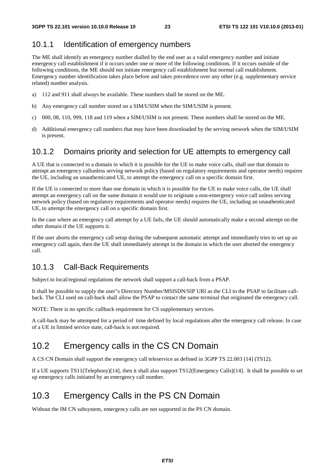### 10.1.1 Identification of emergency numbers

The ME shall identify an emergency number dialled by the end user as a valid emergency number and initiate emergency call establishment if it occurs under one or more of the following conditions. If it occurs outside of the following conditions, the ME should not initiate emergency call establishment but normal call establishment. Emergency number identification takes place before and takes precedence over any other (e.g. supplementary service related) number analysis.

- a) 112 and 911 shall always be available. These numbers shall be stored on the ME.
- b) Any emergency call number stored on a SIM/USIM when the SIM/USIM is present.
- c) 000, 08, 110, 999, 118 and 119 when a SIM/USIM is not present. These numbers shall be stored on the ME.
- d) Additional emergency call numbers that may have been downloaded by the serving network when the SIM/USIM is present.

### 10.1.2 Domains priority and selection for UE attempts to emergency call

A UE that is connected to a domain in which it is possible for the UE to make voice calls, shall use that domain to attempt an emergency callunless serving network policy (based on regulatory requirements and operator needs) requires the UE, including an unauthenticated UE, to attempt the emergency call on a specific domain first.

If the UE is connected to more than one domain in which it is possible for the UE to make voice calls, the UE shall attempt an emergency call on the same domain it would use to originate a non-emergency voice call unless serving network policy (based on regulatory requirements and operator needs) requires the UE, including an unauthenticated UE, to attempt the emergency call on a specific domain first.

In the case where an emergency call attempt by a UE fails, the UE should automatically make a second attempt on the other domain if the UE supports it.

If the user aborts the emergency call setup during the subsequent automatic attempt and immediately tries to set up an emergency call again, then the UE shall immediately attempt in the domain in which the user aborted the emergency call.

#### 10.1.3 Call-Back Requirements

Subject to local/regional regulations the network shall support a call-back from a PSAP.

It shall be possible to supply the user"s Directory Number/MSISDN/SIP URI as the CLI to the PSAP to facilitate callback. The CLI used on call-back shall allow the PSAP to contact the same terminal that originated the emergency call.

NOTE: There is no specific callback requirement for CS supplementary services.

A call-back may be attempted for a period of time defined by local regulations after the emergency call release. In case of a UE in limited service state, call-back is not required.

# 10.2 Emergency calls in the CS CN Domain

A CS CN Domain shall support the emergency call teleservice as defined in 3GPP TS 22.003 [14] (TS12).

If a UE supports TS11(Telephony)[14], then it shall also support TS12(Emergency Calls)[14]. It shall be possible to set up emergency calls initiated by an emergency call number.

# 10.3 Emergency Calls in the PS CN Domain

Without the IM CN subsystem, emergency calls are not supported in the PS CN domain.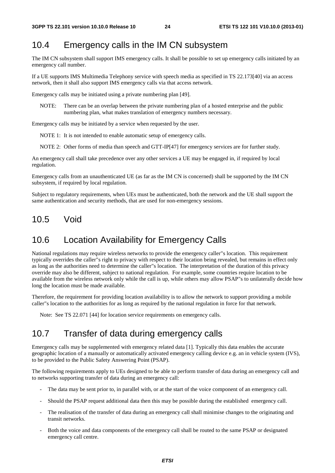# 10.4 Emergency calls in the IM CN subsystem

The IM CN subsystem shall support IMS emergency calls. It shall be possible to set up emergency calls initiated by an emergency call number.

If a UE supports IMS Multimedia Telephony service with speech media as specified in TS 22.173[40] via an access network, then it shall also support IMS emergency calls via that access network.

Emergency calls may be initiated using a private numbering plan [49].

NOTE: There can be an overlap between the private numbering plan of a hosted enterprise and the public numbering plan, what makes translation of emergency numbers necessary.

Emergency calls may be initiated by a service when requested by the user.

NOTE 1: It is not intended to enable automatic setup of emergency calls.

NOTE 2: Other forms of media than speech and GTT-IP[47] for emergency services are for further study.

An emergency call shall take precedence over any other services a UE may be engaged in, if required by local regulation.

Emergency calls from an unauthenticated UE (as far as the IM CN is concerned) shall be supported by the IM CN subsystem, if required by local regulation.

Subject to regulatory requirements, when UEs must be authenticated, both the network and the UE shall support the same authentication and security methods, that are used for non-emergency sessions.

# 10.5 Void

# 10.6 Location Availability for Emergency Calls

National regulations may require wireless networks to provide the emergency caller"s location. This requirement typically overrides the caller"s right to privacy with respect to their location being revealed, but remains in effect only as long as the authorities need to determine the caller"s location. The interpretation of the duration of this privacy override may also be different, subject to national regulation. For example, some countries require location to be available from the wireless network only while the call is up, while others may allow PSAP"s to unilaterally decide how long the location must be made available.

Therefore, the requirement for providing location availability is to allow the network to support providing a mobile caller"s location to the authorities for as long as required by the national regulation in force for that network.

Note: See TS 22.071 [44] for location service requirements on emergency calls.

### 10.7 Transfer of data during emergency calls

Emergency calls may be supplemented with emergency related data [1]. Typically this data enables the accurate geographic location of a manually or automatically activated emergency calling device e.g. an in vehicle system (IVS), to be provided to the Public Safety Answering Point (PSAP).

The following requirements apply to UEs designed to be able to perform transfer of data during an emergency call and to networks supporting transfer of data during an emergency call:

- The data may be sent prior to, in parallel with, or at the start of the voice component of an emergency call.
- Should the PSAP request additional data then this may be possible during the established emergency call.
- The realisation of the transfer of data during an emergency call shall minimise changes to the originating and transit networks.
- Both the voice and data components of the emergency call shall be routed to the same PSAP or designated emergency call centre.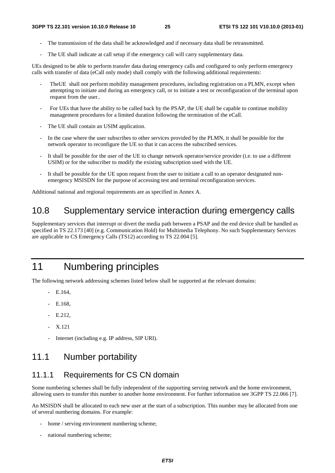- The transmission of the data shall be acknowledged and if necessary data shall be retransmitted.
- The UE shall indicate at call setup if the emergency call will carry supplementary data.

UEs designed to be able to perform transfer data during emergency calls and configured to only perform emergency calls with transfer of data (eCall only mode) shall comply with the following additional requirements:

- The UE shall not perform mobility management procedures, including registration on a PLMN, except when attempting to initiate and during an emergency call, or to initiate a test or reconfiguration of the terminal upon request from the user..
- For UEs that have the ability to be called back by the PSAP, the UE shall be capable to continue mobility management procedures for a limited duration following the termination of the eCall.
- The UE shall contain an USIM application.
- In the case where the user subscribes to other services provided by the PLMN, it shall be possible for the network operator to reconfigure the UE so that it can access the subscribed services.
- It shall be possible for the user of the UE to change network operator/service provider (i.e. to use a different USIM) or for the subscriber to modify the existing subscription used with the UE.
- It shall be possible for the UE upon request from the user to initiate a call to an operator designated nonemergency MSISDN for the purpose of accessing test and terminal reconfiguration services.

Additional national and regional requirements are as specified in Annex A.

# 10.8 Supplementary service interaction during emergency calls

Supplementary services that interrupt or divert the media path between a PSAP and the end device shall be handled as specified in TS 22.173 [40] (e.g. Communication Hold) for Multimedia Telephony. No such Supplementary Services are applicable to CS Emergency Calls (TS12) according to TS 22.004 [5].

# 11 Numbering principles

The following network addressing schemes listed below shall be supported at the relevant domains:

- E.164.
- E.168,
- E.212,
- X.121
- Internet (including e.g. IP address, SIP URI).

# 11.1 Number portability

### 11.1.1 Requirements for CS CN domain

Some numbering schemes shall be fully independent of the supporting serving network and the home environment, allowing users to transfer this number to another home environment. For further information see 3GPP TS 22.066 [7].

An MSISDN shall be allocated to each new user at the start of a subscription. This number may be allocated from one of several numbering domains. For example:

- home / serving environment numbering scheme;
- national numbering scheme;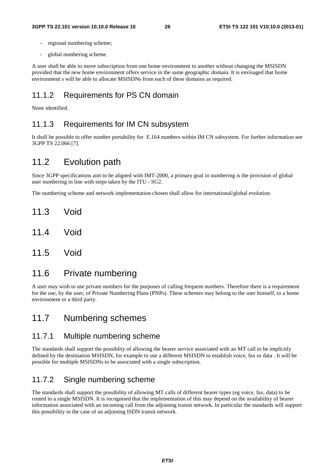- regional numbering scheme;
- global numbering scheme.

A user shall be able to move subscription from one home environment to another without changing the MSISDN provided that the new home environment offers service in the same geographic domain. It is envisaged that home environment s will be able to allocate MSISDNs from each of these domains as required.

#### 11.1.2 Requirements for PS CN domain

None identified.

#### 11.1.3 Requirements for IM CN subsystem

It shall be possible to offer number portability for E.164 numbers within IM CN subsystem. For further information see 3GPP TS 22.066 [7].

### 11.2 Evolution path

Since 3GPP specifications aim to be aligned with IMT-2000, a primary goal in numbering is the provision of global user numbering in line with steps taken by the ITU - SG2.

The numbering scheme and network implementation chosen shall allow for international/global evolution.

- 11.3 Void
- 11.4 Void
- 11.5 Void

### 11.6 Private numbering

A user may wish to use private numbers for the purposes of calling frequent numbers. Therefore there is a requirement for the use, by the user, of Private Numbering Plans (PNPs). These schemes may belong to the user himself, to a home environment or a third party.

### 11.7 Numbering schemes

#### 11.7.1 Multiple numbering scheme

The standards shall support the possiblity of allowing the bearer service associated with an MT call to be implicitly defined by the destination MSISDN, for example to use a different MSISDN to establish voice, fax or data . It will be possible for multiple MSISDNs to be associated with a single subscription.

#### 11.7.2 Single numbering scheme

The standards shall support the possibility of allowing MT calls of different bearer types (eg voice, fax, data) to be routed to a single MSISDN. It is recognised that the implementation of this may depend on the availability of bearer information associated with an incoming call from the adjoining transit network. In particular the standards will support this possibility in the case of an adjoining ISDN transit network.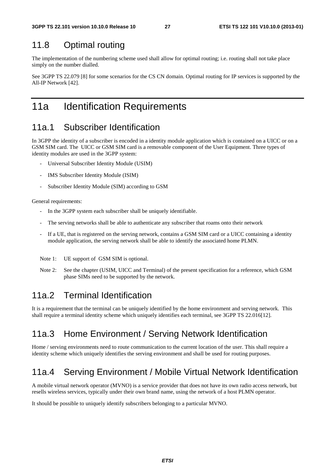## 11.8 Optimal routing

The implementation of the numbering scheme used shall allow for optimal routing; i.e. routing shall not take place simply on the number dialled.

See 3GPP TS 22.079 [8] for some scenarios for the CS CN domain. Optimal routing for IP services is supported by the All-IP Network [42].

# 11a Identification Requirements

# 11a.1 Subscriber Identification

In 3GPP the identity of a subscriber is encoded in a identity module application which is contained on a UICC or on a GSM SIM card. The UICC or GSM SIM card is a removable component of the User Equipment. Three types of identity modules are used in the 3GPP system:

- Universal Subscriber Identity Module (USIM)
- IMS Subscriber Identity Module (ISIM)
- Subscriber Identity Module (SIM) according to GSM

General requirements:

- In the 3GPP system each subscriber shall be uniquely identifiable.
- The serving networks shall be able to authenticate any subscriber that roams onto their network
- If a UE, that is registered on the serving network, contains a GSM SIM card or a UICC containing a identity module application, the serving network shall be able to identify the associated home PLMN.
- Note 1: UE support of GSM SIM is optional.
- Note 2: See the chapter (USIM, UICC and Terminal) of the present specification for a reference, which GSM phase SIMs need to be supported by the network.

# 11a.2 Terminal Identification

It is a requirement that the terminal can be uniquely identified by the home environment and serving network. This shall require a terminal identity scheme which uniquely identifies each terminal, see 3GPP TS 22.016[12].

# 11a.3 Home Environment / Serving Network Identification

Home / serving environments need to route communication to the current location of the user. This shall require a identity scheme which uniquely identifies the serving environment and shall be used for routing purposes.

# 11a.4 Serving Environment / Mobile Virtual Network Identification

A mobile virtual network operator (MVNO) is a service provider that does not have its own radio access network, but resells wireless services, typically under their own brand name, using the network of a host PLMN operator.

It should be possible to uniquely identify subscribers belonging to a particular MVNO.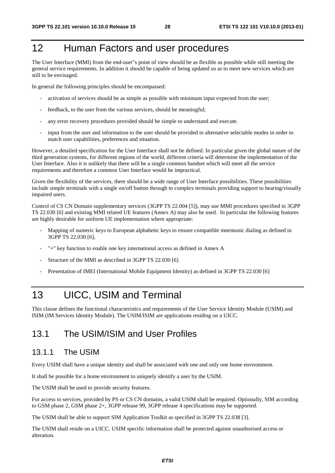# 12 Human Factors and user procedures

The User Interface (MMI) from the end-user"s point of view should be as flexible as possible while still meeting the general service requirements. In addition it should be capable of being updated so as to meet new services which are still to be envisaged.

In general the following principles should be encompassed:

- activation of services should be as simple as possible with minimum input expected from the user;
- feedback, to the user from the various services, should be meaningful;
- any error recovery procedures provided should be simple to understand and execute.
- input from the user and information to the user should be provided in alternative selectable modes in order to match user capabilities, preferences and situation.

However, a detailed specification for the User Interface shall not be defined. In particular given the global nature of the third generation systems, for different regions of the world, different criteria will determine the implementation of the User Interface. Also it is unlikely that there will be a single common handset which will meet all the service requirements and therefore a common User Interface would be impractical.

Given the flexibility of the services, there should be a wide range of User Interface possibilities. These possibilities include simple terminals with a single on/off button through to complex terminals providing support to hearing/visually impaired users.

Control of CS CN Domain supplementary services (3GPP TS 22.004 [5]), may use MMI procedures specified in 3GPP TS 22.030 [6] and existing MMI related UE features (Annex A) may also be used. In particular the following features are highly desirable for uniform UE implementation where appropriate:

- Mapping of numeric keys to European alphabetic keys to ensure compatible mnemonic dialing as defined in 3GPP TS 22.030 [6],
- "+" key function to enable one key international access as defined in Annex A
- Structure of the MMI as described in 3GPP TS 22.030 [6]
- Presentation of IMEI (International Mobile Equipment Identity) as defined in 3GPP TS 22.030 [6]

# 13 UICC, USIM and Terminal

This clause defines the functional characteristics and requirements of the User Service Identity Module (USIM) and ISIM (IM Services Identity Module). The USIM/ISIM are applications residing on a UICC.

# 13.1 The USIM/ISIM and User Profiles

# 13.1.1 The USIM

Every USIM shall have a unique identity and shall be associated with one and only one home environment.

It shall be possible for a home environment to uniquely identify a user by the USIM.

The USIM shall be used to provide security features.

For access to services, provided by PS or CS CN domains, a valid USIM shall be required. Optionally, SIM according to GSM phase 2, GSM phase 2+, 3GPP release 99, 3GPP release 4 specifications may be supported.

The USIM shall be able to support SIM Application Toolkit as specified in 3GPP TS 22.038 [3].

The USIM shall reside on a UICC. USIM specific information shall be protected against unauthorised access or alteration.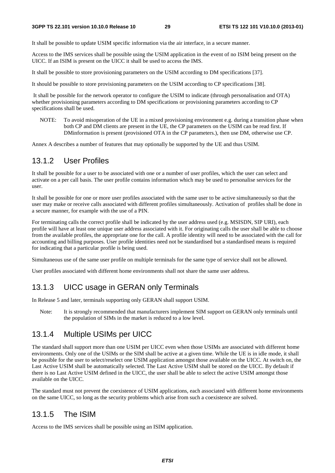It shall be possible to update USIM specific information via the air interface, in a secure manner.

Access to the IMS services shall be possible using the USIM application in the event of no ISIM being present on the UICC. If an ISIM is present on the UICC it shall be used to access the IMS.

It shall be possible to store provisioning parameters on the USIM according to DM specifications [37].

It should be possible to store provisioning parameters on the USIM according to CP specifications [38].

 It shall be possible for the network operator to configure the USIM to indicate (through personalisation and OTA) whether provisioning parameters according to DM specifications or provisioning parameters according to CP specifications shall be used.

NOTE: To avoid misoperation of the UE in a mixed provisioning environment e.g. during a transition phase when both CP and DM clients are present in the UE, the CP parameters on the USIM can be read first. If DMinformation is present (provisioned OTA in the CP parameters.), then use DM, otherwise use CP.

Annex A describes a number of features that may optionally be supported by the UE and thus USIM.

# 13.1.2 User Profiles

It shall be possible for a user to be associated with one or a number of user profiles, which the user can select and activate on a per call basis. The user profile contains information which may be used to personalise services for the user.

It shall be possible for one or more user profiles associated with the same user to be active simultaneously so that the user may make or receive calls associated with different profiles simultaneously. Activation of profiles shall be done in a secure manner, for example with the use of a PIN.

For terminating calls the correct profile shall be indicated by the user address used (e.g. MSISDN, SIP URI), each profile will have at least one unique user address associated with it. For originating calls the user shall be able to choose from the available profiles, the appropriate one for the call. A profile identity will need to be associated with the call for accounting and billing purposes. User profile identities need not be standardised but a standardised means is required for indicating that a particular profile is being used.

Simultaneous use of the same user profile on multiple terminals for the same type of service shall not be allowed.

User profiles associated with different home environments shall not share the same user address.

# 13.1.3 UICC usage in GERAN only Terminals

In Release 5 and later, terminals supporting only GERAN shall support USIM.

Note: It is strongly recommended that manufacturers implement SIM support on GERAN only terminals until the population of SIMs in the market is reduced to a low level.

### 13.1.4 Multiple USIMs per UICC

The standard shall support more than one USIM per UICC even when those USIMs are associated with different home environments. Only one of the USIMs or the SIM shall be active at a given time. While the UE is in idle mode, it shall be possible for the user to select/reselect one USIM application amongst those available on the UICC. At switch on, the Last Active USIM shall be automatically selected. The Last Active USIM shall be stored on the UICC. By default if there is no Last Active USIM defined in the UICC, the user shall be able to select the active USIM amongst those available on the UICC.

The standard must not prevent the coexistence of USIM applications, each associated with different home environments on the same UICC, so long as the security problems which arise from such a coexistence are solved.

### 13.1.5 The ISIM

Access to the IMS services shall be possible using an ISIM application.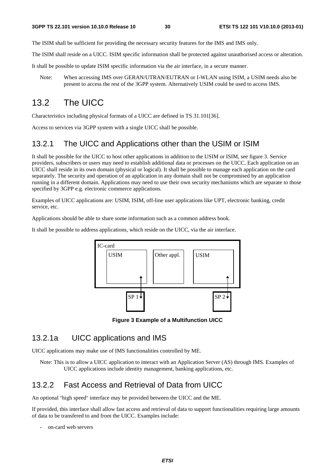The ISIM shall be sufficient for providing the necessary security features for the IMS and IMS only.

The ISIM shall reside on a UICC. ISIM specific information shall be protected against unauthorised access or alteration.

It shall be possible to update ISIM specific information via the air interface, in a secure manner.

Note: When accessing IMS over GERAN/UTRAN/EUTRAN or I-WLAN using ISIM, a USIM needs also be present to access the rest of the 3GPP system. Alternatively USIM could be used to access IMS.

# 13.2 The UICC

Characteristics including physical formats of a UICC are defined in TS 31.101[36].

Access to services via 3GPP system with a single UICC shall be possible.

#### 13.2.1 The UICC and Applications other than the USIM or ISIM

It shall be possible for the UICC to host other applications in addition to the USIM or ISIM, see figure 3. Service providers, subscribers or users may need to establish additional data or processes on the UICC. Each application on an UICC shall reside in its own domain (physical or logical). It shall be possible to manage each application on the card separately. The security and operation of an application in any domain shall not be compromised by an application running in a different domain. Applications may need to use their own security mechanisms which are separate to those specified by 3GPP e.g. electronic commerce applications.

Examples of UICC applications are: USIM, ISIM, off-line user applications like UPT, electronic banking, credit service, etc.

Applications should be able to share some information such as a common address book.

It shall be possible to address applications, which reside on the UICC, via the air interface.



**Figure 3 Example of a Multifunction UICC** 

#### 13.2.1a UICC applications and IMS

UICC applications may make use of IMS functionalities controlled by ME.

Note: This is to allow a UICC application to interact with an Application Server (AS) through IMS. Examples of UICC applications include identity management, banking applications, etc.

#### 13.2.2 Fast Access and Retrieval of Data from UICC

An optional "high speed" interface may be provided between the UICC and the ME.

If provided, this interface shall allow fast access and retrieval of data to support functionalities requiring large amounts of data to be transfered to and from the UICC. Examples include:

on-card web servers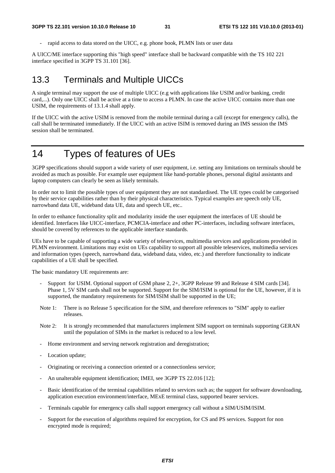rapid access to data stored on the UICC, e.g. phone book, PLMN lists or user data

A UICC/ME interface supporting this "high speed" interface shall be backward compatible with the TS 102 221 interface specified in 3GPP TS 31.101 [36].

### 13.3 Terminals and Multiple UICCs

A single terminal may support the use of multiple UICC (e.g with applications like USIM and/or banking, credit card,...). Only one UICC shall be active at a time to access a PLMN. In case the active UICC contains more than one USIM, the requirements of 13.1.4 shall apply.

If the UICC with the active USIM is removed from the mobile terminal during a call (except for emergency calls), the call shall be terminated immediately. If the UICC with an active ISIM is removed during an IMS session the IMS session shall be terminated.

# 14 Types of features of UEs

3GPP specifications should support a wide variety of user equipment, i.e. setting any limitations on terminals should be avoided as much as possible. For example user equipment like hand-portable phones, personal digital assistants and laptop computers can clearly be seen as likely terminals.

In order not to limit the possible types of user equipment they are not standardised. The UE types could be categorised by their service capabilities rather than by their physical characteristics. Typical examples are speech only UE, narrowband data UE, wideband data UE, data and speech UE, etc..

In order to enhance functionality split and modularity inside the user equipment the interfaces of UE should be identified. Interfaces like UICC-interface, PCMCIA-interface and other PC-interfaces, including software interfaces, should be covered by references to the applicable interface standards.

UEs have to be capable of supporting a wide variety of teleservices, multimedia services and applications provided in PLMN environment. Limitations may exist on UEs capability to support all possible teleservices, multimedia services and information types (speech, narrowband data, wideband data, video, etc.) and therefore functionality to indicate capabilities of a UE shall be specified.

The basic mandatory UE requirements are:

- Support for USIM. Optional support of GSM phase 2, 2+, 3GPP Release 99 and Release 4 SIM cards [34]. Phase 1, 5V SIM cards shall not be supported. Support for the SIM/ISIM is optional for the UE, however, if it is supported, the mandatory requirements for SIM/ISIM shall be supported in the UE;
- Note 1: There is no Release 5 specification for the SIM, and therefore references to "SIM" apply to earlier releases.
- Note 2: It is strongly recommended that manufacturers implement SIM support on terminals supporting GERAN until the population of SIMs in the market is reduced to a low level.
- Home environment and serving network registration and deregistration;
- Location update;
- Originating or receiving a connection oriented or a connectionless service;
- An unalterable equipment identification; IMEI, see 3GPP TS 22.016 [12];
- Basic identification of the terminal capabilities related to services such as; the support for software downloading, application execution environment/interface, MExE terminal class, supported bearer services.
- Terminals capable for emergency calls shall support emergency call without a SIM/USIM/ISIM.
- Support for the execution of algorithms required for encryption, for CS and PS services. Support for non encrypted mode is required;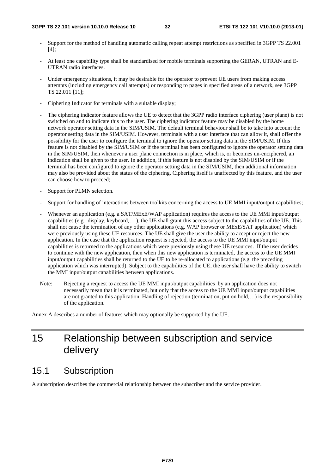#### **3GPP TS 22.101 version 10.10.0 Release 10 32 ETSI TS 122 101 V10.10.0 (2013-01)**

- Support for the method of handling automatic calling repeat attempt restrictions as specified in 3GPP TS 22.001 [4];
- At least one capability type shall be standardised for mobile terminals supporting the GERAN, UTRAN and E-UTRAN radio interfaces.
- Under emergency situations, it may be desirable for the operator to prevent UE users from making access attempts (including emergency call attempts) or responding to pages in specified areas of a network, see 3GPP TS 22.011 [11];
- Ciphering Indicator for terminals with a suitable display;
- The ciphering indicator feature allows the UE to detect that the 3GPP radio interface ciphering (user plane) is not switched on and to indicate this to the user. The ciphering indicator feature may be disabled by the home network operator setting data in the SIM/USIM. The default terminal behaviour shall be to take into account the operator setting data in the SIM/USIM. However, terminals with a user interface that can allow it, shall offer the possibility for the user to configure the terminal to ignore the operator setting data in the SIM/USIM. If this feature is not disabled by the SIM/USIM or if the terminal has been configured to ignore the operator setting data in the SIM/USIM, then whenever a user plane connection is in place, which is, or becomes un-enciphered, an indication shall be given to the user. In addition, if this feature is not disabled by the SIM/USIM or if the terminal has been configured to ignore the operator setting data in the SIM/USIM, then additional information may also be provided about the status of the ciphering. Ciphering itself is unaffected by this feature, and the user can choose how to proceed;
- Support for PLMN selection.
- Support for handling of interactions between toolkits concerning the access to UE MMI input/output capabilities;
- Whenever an application (e.g. a SAT/MExE/WAP application) requires the access to the UE MMI input/output capabilities (e.g. display, keyboard,… ), the UE shall grant this access subject to the capabilities of the UE. This shall not cause the termination of any other applications (e.g. WAP browser or MExE/SAT application) which were previously using these UE resources. The UE shall give the user the ability to accept or reject the new application. In the case that the application request is rejected, the access to the UE MMI input/output capabilities is returned to the applications which were previously using these UE resources. If the user decides to continue with the new application, then when this new application is terminated, the access to the UE MMI input/output capabilities shall be returned to the UE to be re-allocated to applications (e.g. the preceding application which was interrupted). Subject to the capabilities of the UE, the user shall have the ability to switch the MMI input/output capabilities between applications.
- Note: Rejecting a request to access the UE MMI input/output capabilities by an application does not necessarily mean that it is terminated, but only that the access to the UE MMI input/output capabilities are not granted to this application. Handling of rejection (termination, put on hold,…) is the responsibility of the application.

Annex A describes a number of features which may optionally be supported by the UE.

# 15 Relationship between subscription and service delivery

# 15.1 Subscription

A subscription describes the commercial relationship between the subscriber and the service provider.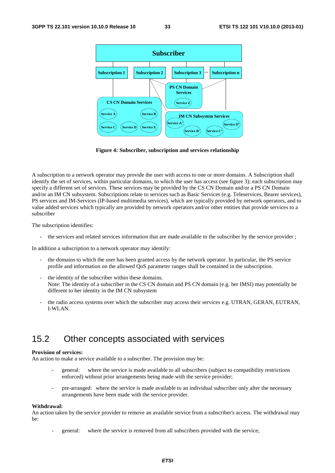

**Figure 4: Subscriber, subscription and services relationship** 

A subscription to a network operator may provide the user with access to one or more domains. A Subscription shall identify the set of services, within particular domains, to which the user has access (see figure 3); each subscription may specify a different set of services. These services may be provided by the CS CN Domain and/or a PS CN Domain and/or an IM CN subsystem. Subscriptions relate to services such as Basic Services (e.g. Teleservices, Bearer services), PS services and IM-Services (IP-based multimedia services), which are typically provided by network operators, and to value added services which typically are provided by network operators and/or other entities that provide services to a subscriber

The subscription identifies:

the services and related services information that are made available to the subscriber by the service provider;

In addition a subscription to a network operator may identify:

- the domains to which the user has been granted access by the network operator. In particular, the PS service profile and information on the allowed QoS parameter ranges shall be contained in the subscription.
- the identity of the subscriber within these domains. Note: The identity of a subscriber in the CS CN domain and PS CN domain (e.g. her IMSI) may potentially be different to her identity in the IM CN subsystem
- the radio access systems over which the subscriber may access their services e.g. UTRAN, GERAN, EUTRAN, I-WLAN.

### 15.2 Other concepts associated with services

#### **Provision of services:**

An action to make a service available to a subscriber. The provision may be:

- general: where the service is made available to all subscribers (subject to compatibility restrictions enforced) without prior arrangements being made with the service provider;
- pre-arranged: where the service is made available to an individual subscriber only after the necessary arrangements have been made with the service provider.

#### **Withdrawal:**

An action taken by the service provider to remove an available service from a subscriber's access. The withdrawal may be:

general: where the service is removed from all subscribers provided with the service;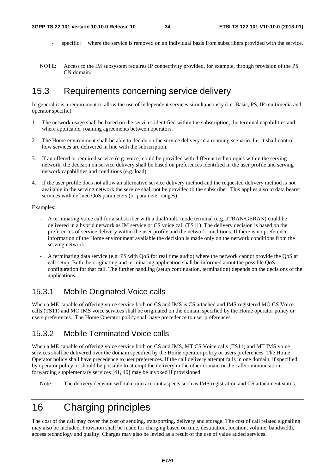- specific: where the service is removed on an individual basis from subscribers provided with the service.
- NOTE: Access to the IM subsystem requires IP connectivity provided, for example, through provision of the PS CN domain.

# 15.3 Requirements concerning service delivery

In general it is a requirement to allow the use of independent services simultaneously (i.e. Basic, PS, IP multimedia and operator specific).

- 1. The network usage shall be based on the services identified within the subscription, the terminal capabilities and, where applicable, roaming agreements between operators.
- 2. The Home environment shall be able to decide on the service delivery in a roaming scenario. I.e. it shall control how services are delivered in line with the subscription.
- 3. If an offered or required service (e.g. voice) could be provided with different technologies within the serving network, the decision on service delivery shall be based on preferences identified in the user profile and serving network capabilities and conditions (e.g. load).
- If the user profile does not allow an alternative service delivery method and the requested delivery method is not available in the serving network the service shall not be provided to the subscriber. This applies also to data bearer services with defined QoS parameters (or parameter ranges).

Examples:

- A terminating voice call for a subscriber with a dual/multi mode terminal (e.g.UTRAN/GERAN) could be delivered in a hybrid network as IM service or CS voice call (TS11). The delivery decision is based on the preferences of service delivery within the user profile and the network conditions. If there is no preference information of the Home environment available the decision is made only on the network conditions from the serving network.
- A terminating data service (e.g. PS with QoS for real time audio) where the network cannot provide the QoS at call setup. Both the originating and terminating application shall be informed about the possible QoS configuration for that call. The further handling (setup continuation, termination) depends on the decisions of the applications.

#### 15.3.1 Mobile Originated Voice calls

When a ME capable of offering voice service both on CS and IMS is CS attached and IMS registered MO CS Voice calls (TS11) and MO IMS voice services shall be originated on the domain specified by the Home operator policy or users preferences. The Home Operator policy shall have precedence to user preferences.

### 15.3.2 Mobile Terminated Voice calls

When a ME capable of offering voice service both on CS and IMS, MT CS Voice calls (TS11) and MT IMS voice services shall be delivered over the domain specified by the Home operator policy or users preferences. The Home Operator policy shall have precedence to user preferences. If the call delivery attempt fails in one domain, if specified by operator policy, it should be possible to attempt the delivery in the other domain or the call/communication forwarding supplementary services [41, 40] may be invoked if provisioned.

Note: The delivery decision will take into account aspects such as IMS registration and CS attachment status.

# 16 Charging principles

The cost of the call may cover the cost of sending, transporting, delivery and storage. The cost of call related signalling may also be included. Provision shall be made for charging based on time, destination, location, volume, bandwidth, access technology and quality. Charges may also be levied as a result of the use of value added services.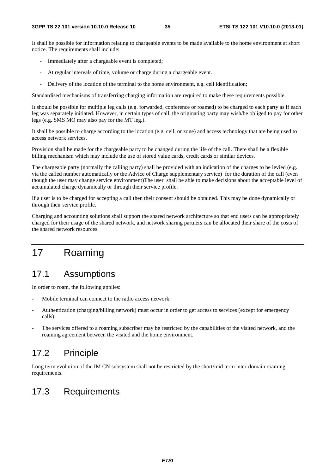It shall be possible for information relating to chargeable events to be made available to the home environment at short notice. The requirements shall include:

- Immediately after a chargeable event is completed;
- At regular intervals of time, volume or charge during a chargeable event.
- Delivery of the location of the terminal to the home environment, e.g. cell identification;

Standardised mechanisms of transferring charging information are required to make these requirements possible.

It should be possible for multiple leg calls (e.g. forwarded, conference or roamed) to be charged to each party as if each leg was separately initiated. However, in certain types of call, the originating party may wish/be obliged to pay for other legs (e.g. SMS MO may also pay for the MT leg.).

It shall be possible to charge according to the location (e.g. cell, or zone) and access technology that are being used to access network services.

Provision shall be made for the chargeable party to be changed during the life of the call. There shall be a flexible billing mechanism which may include the use of stored value cards, credit cards or similar devices.

The chargeable party (normally the calling party) shall be provided with an indication of the charges to be levied (e.g. via the called number automatically or the Advice of Charge supplementary service) for the duration of the call (even though the user may change service environment)The user shall be able to make decisions about the acceptable level of accumulated charge dynamically or through their service profile.

If a user is to be charged for accepting a call then their consent should be obtained. This may be done dynamically or through their service profile.

Charging and accounting solutions shall support the shared network architecture so that end users can be appropriately charged for their usage of the shared network, and network sharing partners can be allocated their share of the costs of the shared network resources.

# 17 Roaming

### 17.1 Assumptions

In order to roam, the following applies:

- Mobile terminal can connect to the radio access network.
- Authentication (charging/billing network) must occur in order to get access to services (except for emergency calls).
- The services offered to a roaming subscriber may be restricted by the capabilities of the visited network, and the roaming agreement between the visited and the home environment.

# 17.2 Principle

Long term evolution of the IM CN subsystem shall not be restricted by the short/mid term inter-domain roaming requirements.

# 17.3 Requirements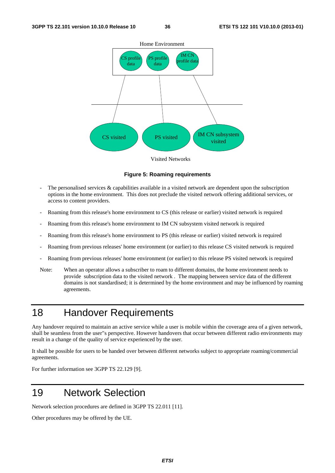

Visited Networks

**Figure 5: Roaming requirements** 

- The personalised services & capabilities available in a visited network are dependent upon the subscription options in the home environment. This does not preclude the visited network offering additional services, or access to content providers.
- Roaming from this release's home environment to CS (this release or earlier) visited network is required
- Roaming from this release's home environment to IM CN subsystem visited network is required
- Roaming from this release's home environment to PS (this release or earlier) visited network is required
- Roaming from previous releases' home environment (or earlier) to this release CS visited network is required
- Roaming from previous releases' home environment (or earlier) to this release PS visited network is required
- Note: When an operator allows a subscriber to roam to different domains, the home environment needs to provide subscription data to the visited network . The mapping between service data of the different domains is not standardised; it is determined by the home environment and may be influenced by roaming agreements.

# 18 Handover Requirements

Any handover required to maintain an active service while a user is mobile within the coverage area of a given network, shall be seamless from the user"s perspective. However handovers that occur between different radio environments may result in a change of the quality of service experienced by the user.

It shall be possible for users to be handed over between different networks subject to appropriate roaming/commercial agreements.

For further information see 3GPP TS 22.129 [9].

# 19 Network Selection

Network selection procedures are defined in 3GPP TS 22.011 [11].

Other procedures may be offered by the UE.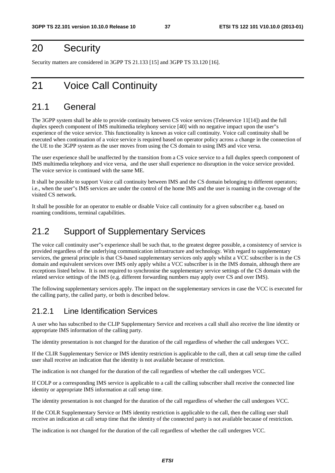# 20 Security

Security matters are considered in 3GPP TS 21.133 [15] and 3GPP TS 33.120 [16].

# 21 Voice Call Continuity

### 21.1 General

The 3GPP system shall be able to provide continuity between CS voice services (Teleservice 11[14]) and the full duplex speech component of IMS multimedia telephony service [40] with no negative impact upon the user"s experience of the voice service. This functionality is known as voice call continuity. Voice call continuity shall be executed when continuation of a voice service is required based on operator policy across a change in the connection of the UE to the 3GPP system as the user moves from using the CS domain to using IMS and vice versa.

The user experience shall be unaffected by the transition from a CS voice service to a full duplex speech component of IMS multimedia telephony and vice versa, and the user shall experience no disruption in the voice service provided. The voice service is continued with the same ME.

It shall be possible to support Voice call continuity between IMS and the CS domain belonging to different operators; i.e., when the user"s IMS services are under the control of the home IMS and the user is roaming in the coverage of the visited CS network.

It shall be possible for an operator to enable or disable Voice call continuity for a given subscriber e.g. based on roaming conditions, terminal capabilities.

### 21.2 Support of Supplementary Services

The voice call continuity user"s experience shall be such that, to the greatest degree possible, a consistency of service is provided regardless of the underlying communication infrastructure and technology. With regard to supplementary services, the general principle is that CS-based supplementary services only apply whilst a VCC subscriber is in the CS domain and equivalent services over IMS only apply whilst a VCC subscriber is in the IMS domain, although there are exceptions listed below. It is not required to synchronise the supplementary service settings of the CS domain with the related service settings of the IMS (e.g. different forwarding numbers may apply over CS and over IMS).

The following supplementary services apply. The impact on the supplementary services in case the VCC is executed for the calling party, the called party, or both is described below.

#### 21.2.1 Line Identification Services

A user who has subscribed to the CLIP Supplementary Service and receives a call shall also receive the line identity or appropriate IMS information of the calling party.

The identity presentation is not changed for the duration of the call regardless of whether the call undergoes VCC.

If the CLIR Supplementary Service or IMS identity restriction is applicable to the call, then at call setup time the called user shall receive an indication that the identity is not available because of restriction.

The indication is not changed for the duration of the call regardless of whether the call undergoes VCC.

If COLP or a corresponding IMS service is applicable to a call the calling subscriber shall receive the connected line identity or appropriate IMS information at call setup time.

The identity presentation is not changed for the duration of the call regardless of whether the call undergoes VCC.

If the COLR Supplementary Service or IMS identity restriction is applicable to the call, then the calling user shall receive an indication at call setup time that the identity of the connected party is not available because of restriction.

The indication is not changed for the duration of the call regardless of whether the call undergoes VCC.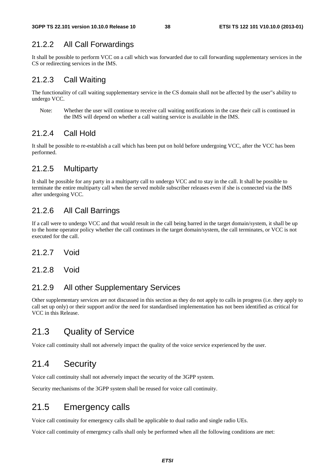#### 21.2.2 All Call Forwardings

It shall be possible to perform VCC on a call which was forwarded due to call forwarding supplementary services in the CS or redirecting services in the IMS.

#### 21.2.3 Call Waiting

The functionality of call waiting supplementary service in the CS domain shall not be affected by the user"s ability to undergo VCC.

Note: Whether the user will continue to receive call waiting notifications in the case their call is continued in the IMS will depend on whether a call waiting service is available in the IMS.

#### 21.2.4 Call Hold

It shall be possible to re-establish a call which has been put on hold before undergoing VCC, after the VCC has been performed.

#### 21.2.5 Multiparty

It shall be possible for any party in a multiparty call to undergo VCC and to stay in the call. It shall be possible to terminate the entire multiparty call when the served mobile subscriber releases even if she is connected via the IMS after undergoing VCC.

#### 21.2.6 All Call Barrings

If a call were to undergo VCC and that would result in the call being barred in the target domain/system, it shall be up to the home operator policy whether the call continues in the target domain/system, the call terminates, or VCC is not executed for the call.

#### 21.2.7 Void

21.2.8 Void

#### 21.2.9 All other Supplementary Services

Other supplementary services are not discussed in this section as they do not apply to calls in progress (i.e. they apply to call set up only) or their support and/or the need for standardised implementation has not been identified as critical for VCC in this Release.

### 21.3 Quality of Service

Voice call continuity shall not adversely impact the quality of the voice service experienced by the user.

### 21.4 Security

Voice call continuity shall not adversely impact the security of the 3GPP system.

Security mechanisms of the 3GPP system shall be reused for voice call continuity.

### 21.5 Emergency calls

Voice call continuity for emergency calls shall be applicable to dual radio and single radio UEs.

Voice call continuity of emergency calls shall only be performed when all the following conditions are met: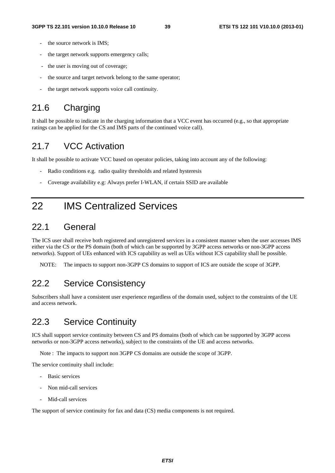- the source network is IMS:
- the target network supports emergency calls;
- the user is moving out of coverage;
- the source and target network belong to the same operator;
- the target network supports voice call continuity.

# 21.6 Charging

It shall be possible to indicate in the charging information that a VCC event has occurred (e.g., so that appropriate ratings can be applied for the CS and IMS parts of the continued voice call).

# 21.7 VCC Activation

It shall be possible to activate VCC based on operator policies, taking into account any of the following:

- Radio conditions e.g. radio quality thresholds and related hysteresis
- Coverage availability e.g: Always prefer I-WLAN, if certain SSID are available

# 22 IMS Centralized Services

### 22.1 General

The ICS user shall receive both registered and unregistered services in a consistent manner when the user accesses IMS either via the CS or the PS domain (both of which can be supported by 3GPP access networks or non-3GPP access networks). Support of UEs enhanced with ICS capability as well as UEs without ICS capability shall be possible.

NOTE: The impacts to support non-3GPP CS domains to support of ICS are outside the scope of 3GPP.

### 22.2 Service Consistency

Subscribers shall have a consistent user experience regardless of the domain used, subject to the constraints of the UE and access network.

### 22.3 Service Continuity

ICS shall support service continuity between CS and PS domains (both of which can be supported by 3GPP access networks or non-3GPP access networks), subject to the constraints of the UE and access networks.

Note : The impacts to support non 3GPP CS domains are outside the scope of 3GPP.

The service continuity shall include:

- Basic services
- Non mid-call services
- Mid-call services

The support of service continuity for fax and data (CS) media components is not required.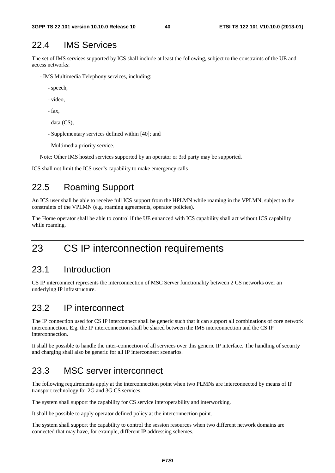### 22.4 IMS Services

The set of IMS services supported by ICS shall include at least the following, subject to the constraints of the UE and access networks:

- IMS Multimedia Telephony services, including:
	- speech,
	- video,
	- fax,
	- data (CS),
	- Supplementary services defined within [40]; and
	- Multimedia priority service.

Note: Other IMS hosted services supported by an operator or 3rd party may be supported.

ICS shall not limit the ICS user"s capability to make emergency calls

# 22.5 Roaming Support

An ICS user shall be able to receive full ICS support from the HPLMN while roaming in the VPLMN, subject to the constraints of the VPLMN (e.g. roaming agreements, operator policies).

The Home operator shall be able to control if the UE enhanced with ICS capability shall act without ICS capability while roaming.

# 23 CS IP interconnection requirements

### 23.1 Introduction

CS IP interconnect represents the interconnection of MSC Server functionality between 2 CS networks over an underlying IP infrastructure.

# 23.2 IP interconnect

The IP connection used for CS IP interconnect shall be generic such that it can support all combinations of core network interconnection. E.g. the IP interconnection shall be shared between the IMS interconnection and the CS IP interconnection.

It shall be possible to handle the inter-connection of all services over this generic IP interface. The handling of security and charging shall also be generic for all IP interconnect scenarios.

## 23.3 MSC server interconnect

The following requirements apply at the interconnection point when two PLMNs are interconnected by means of IP transport technology for 2G and 3G CS services.

The system shall support the capability for CS service interoperability and interworking.

It shall be possible to apply operator defined policy at the interconnection point.

The system shall support the capability to control the session resources when two different network domains are connected that may have, for example, different IP addressing schemes.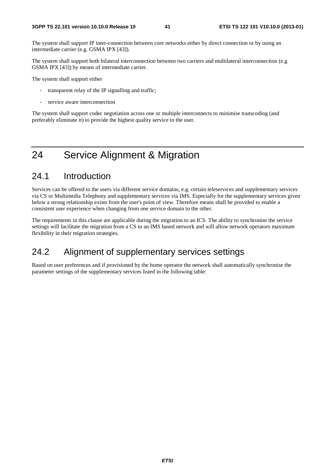The system shall support IP inter-connection between core networks either by direct connection or by using an intermediate carrier (e.g. GSMA IPX [43]).

The system shall support both bilateral interconnection between two carriers and multilateral interconnection (e.g GSMA IPX [43]) by means of intermediate carrier.

The system shall support either

- transparent relay of the IP signalling and traffic;
- service aware interconnection

The system shall support codec negotiation across one or multiple interconnects to minimise transcoding (and preferably eliminate it) to provide the highest quality service to the user.

# 24 Service Alignment & Migration

### 24.1 Introduction

Services can be offered to the users via different service domains, e.g. certain teleservices and supplementary services via CS or Multimedia Telephony and supplementary services via IMS. Especially for the supplementary services given below a strong relationship exists from the user's point of view. Therefore means shall be provided to enable a consistent user experience when changing from one service domain to the other.

The requirements in this clause are applicable during the migration to an ICS. The ability to synchronise the service settings will facilitate the migration from a CS to an IMS based network and will allow network operators maximum flexibility in their migration strategies.

# 24.2 Alignment of supplementary services settings

Based on user preferences and if provisioned by the home operator the network shall automatically synchronise the parameter settings of the supplementary services listed in the following table: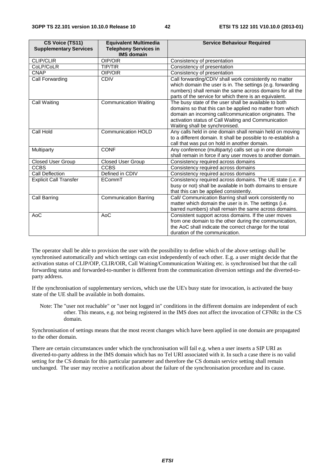| <b>CS Voice (TS11)</b><br><b>Supplementary Services</b> | <b>Equivalent Multimedia</b><br><b>Telephony Services in</b><br><b>IMS domain</b> | <b>Service Behaviour Required</b>                                                                                                                                                                                                                                   |
|---------------------------------------------------------|-----------------------------------------------------------------------------------|---------------------------------------------------------------------------------------------------------------------------------------------------------------------------------------------------------------------------------------------------------------------|
| <b>CLIP/CLIR</b>                                        | OIP/OIR                                                                           | Consistency of presentation                                                                                                                                                                                                                                         |
| CoLP/CoLR                                               | <b>TIP/TIR</b>                                                                    | Consistency of presentation                                                                                                                                                                                                                                         |
| <b>CNAP</b>                                             | OIP/OIR                                                                           | Consistency of presentation                                                                                                                                                                                                                                         |
| Call Forwarding                                         | <b>CDIV</b>                                                                       | Call forwarding/CDIV shall work consistently no matter<br>which domain the user is in. The settings (e.g. forwarding<br>numbers) shall remain the same across domains for all the<br>parts of the service for which there is an equivalent.                         |
| Call Waiting                                            | <b>Communication Waiting</b>                                                      | The busy state of the user shall be available to both<br>domains so that this can be applied no matter from which<br>domain an incoming call/communication originates. The<br>activation status of Call Waiting and Communication<br>Waiting shall be synchronised. |
| Call Hold                                               | <b>Communication HOLD</b>                                                         | Any calls held in one domain shall remain held on moving<br>to a different domain. It shall be possible to re-establish a<br>call that was put on hold in another domain.                                                                                           |
| Multiparty                                              | <b>CONF</b>                                                                       | Any conference (multiparty) calls set up in one domain<br>shall remain in force if any user moves to another domain.                                                                                                                                                |
| Closed User Group                                       | Closed User Group                                                                 | Consistency required across domains                                                                                                                                                                                                                                 |
| <b>CCBS</b>                                             | <b>CCBS</b>                                                                       | Consistency required across domains                                                                                                                                                                                                                                 |
| Call Deflection                                         | Defined in CDIV                                                                   | Consistency required across domains                                                                                                                                                                                                                                 |
| <b>Explicit Call Transfer</b>                           | ECommT                                                                            | Consistency required across domains. The UE state (i.e. if<br>busy or not) shall be available in both domains to ensure<br>that this can be applied consistently.                                                                                                   |
| Call Barring                                            | <b>Communication Barring</b>                                                      | Call/ Communication Barring shall work consistently no<br>matter which domain the user is in. The settings (i.e.<br>barred numbers) shall remain the same across domains.                                                                                           |
| AoC                                                     | AoC                                                                               | Consistent support across domains. If the user moves<br>from one domain to the other during the communication,<br>the AoC shall indicate the correct charge for the total<br>duration of the communication.                                                         |

The operator shall be able to provision the user with the possibility to define which of the above settings shall be synchronised automatically and which settings can exist independently of each other. E.g. a user might decide that the activation status of CLIP/OIP, CLIR/OIR, Call Waiting/Communication Waiting etc. is synchronised but that the call forwarding status and forwarded-to-number is different from the communication diversion settings and the diverted-toparty address.

If the synchronisation of supplementary services, which use the UE's busy state for invocation, is activated the busy state of the UE shall be available in both domains.

Note: The "user not reachable" or "user not logged in" conditions in the different domains are independent of each other. This means, e.g. not being registered in the IMS does not affect the invocation of CFNRc in the CS domain.

Synchronisation of settings means that the most recent changes which have been applied in one domain are propagated to the other domain.

There are certain circumstances under which the synchronisation will fail e.g. when a user inserts a SIP URI as diverted-to-party address in the IMS domain which has no Tel URI associated with it. In such a case there is no valid setting for the CS domain for this particular parameter and therefore the CS domain service setting shall remain unchanged. The user may receive a notification about the failure of the synchronisation procedure and its cause.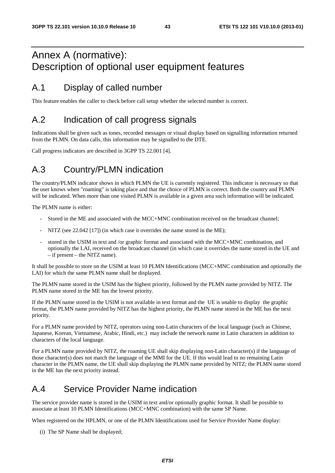# Annex A (normative): Description of optional user equipment features

# A.1 Display of called number

This feature enables the caller to check before call setup whether the selected number is correct.

# A.2 Indication of call progress signals

Indications shall be given such as tones, recorded messages or visual display based on signalling information returned from the PLMN. On data calls, this information may be signalled to the DTE.

Call progress indicators are described in 3GPP TS 22.001 [4].

# A.3 Country/PLMN indication

The country/PLMN indicator shows in which PLMN the UE is currently registered. This indicator is necessary so that the user knows when "roaming" is taking place and that the choice of PLMN is correct. Both the country and PLMN will be indicated. When more than one visited PLMN is available in a given area such information will be indicated.

The PLMN name is either:

- Stored in the ME and associated with the MCC+MNC combination received on the broadcast channel;
- NITZ (see 22.042 [17]) (in which case it overrides the name stored in the ME);
- stored in the USIM in text and /or graphic format and associated with the MCC+MNC combination, and optionally the LAI, received on the broadcast channel (in which case it overrides the name stored in the UE and – if present – the NITZ name).

It shall be possible to store on the USIM at least 10 PLMN Identifications (MCC+MNC combination and optionally the LAI) for which the same PLMN name shall be displayed.

The PLMN name stored in the USIM has the highest priority, followed by the PLMN name provided by NITZ. The PLMN name stored in the ME has the lowest priority.

If the PLMN name stored in the USIM is not available in text format and the UE is unable to display the graphic format, the PLMN name provided by NITZ has the highest priority, the PLMN name stored in the ME has the next priority.

For a PLMN name provided by NITZ, operators using non-Latin characters of the local language (such as Chinese, Japanese, Korean, Vietnamese, Arabic, Hindi, etc.) may include the network name in Latin characters in addition to characters of the local language.

For a PLMN name provided by NITZ, the roaming UE shall skip displaying non-Latin character(s) if the language of those character(s) does not match the language of the MMI for the UE. If this would lead to no remaining Latin character in the PLMN name, the UE shall skip displaying the PLMN name provided by NITZ; the PLMN name stored in the ME has the next priority instead.

# A.4 Service Provider Name indication

The service provider name is stored in the USIM in text and/or optionally graphic format. It shall be possible to associate at least 10 PLMN Identifications (MCC+MNC combination) with the same SP Name.

When registered on the HPLMN, or one of the PLMN Identifications used for Service Provider Name display:

(i) The SP Name shall be displayed;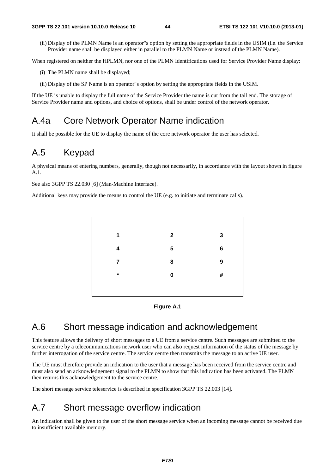(ii) Display of the PLMN Name is an operator"s option by setting the appropriate fields in the USIM (i.e. the Service Provider name shall be displayed either in parallel to the PLMN Name or instead of the PLMN Name).

When registered on neither the HPLMN, nor one of the PLMN Identifications used for Service Provider Name display:

- (i) The PLMN name shall be displayed;
- (ii) Display of the SP Name is an operator"s option by setting the appropriate fields in the USIM.

If the UE is unable to display the full name of the Service Provider the name is cut from the tail end. The storage of Service Provider name and options, and choice of options, shall be under control of the network operator.

# A.4a Core Network Operator Name indication

It shall be possible for the UE to display the name of the core network operator the user has selected.

# A.5 Keypad

A physical means of entering numbers, generally, though not necessarily, in accordance with the layout shown in figure A.1.

See also 3GPP TS 22.030 [6] (Man-Machine Interface).

Additional keys may provide the means to control the UE (e.g. to initiate and terminate calls).

| 1              | $\mathbf{2}$ | $\mathbf 3$ |
|----------------|--------------|-------------|
| 4              | $\sqrt{5}$   | 6           |
| $\overline{7}$ | 8            | 9           |
| $\star$        | $\pmb{0}$    | #           |
|                |              |             |
|                |              |             |

**Figure A.1** 

# A.6 Short message indication and acknowledgement

This feature allows the delivery of short messages to a UE from a service centre. Such messages are submitted to the service centre by a telecommunications network user who can also request information of the status of the message by further interrogation of the service centre. The service centre then transmits the message to an active UE user.

The UE must therefore provide an indication to the user that a message has been received from the service centre and must also send an acknowledgement signal to the PLMN to show that this indication has been activated. The PLMN then returns this acknowledgement to the service centre.

The short message service teleservice is described in specification 3GPP TS 22.003 [14].

# A.7 Short message overflow indication

An indication shall be given to the user of the short message service when an incoming message cannot be received due to insufficient available memory.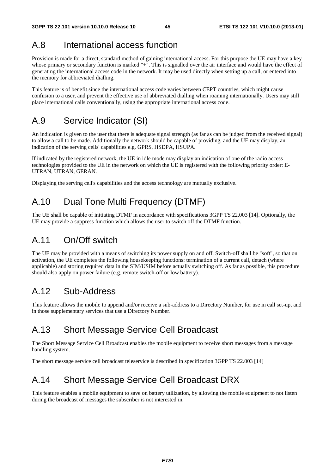# A.8 International access function

Provision is made for a direct, standard method of gaining international access. For this purpose the UE may have a key whose primary or secondary function is marked "+". This is signalled over the air interface and would have the effect of generating the international access code in the network. It may be used directly when setting up a call, or entered into the memory for abbreviated dialling.

This feature is of benefit since the international access code varies between CEPT countries, which might cause confusion to a user, and prevent the effective use of abbreviated dialling when roaming internationally. Users may still place international calls conventionally, using the appropriate international access code.

# A.9 Service Indicator (SI)

An indication is given to the user that there is adequate signal strength (as far as can be judged from the received signal) to allow a call to be made. Additionally the network should be capable of providing, and the UE may display, an indication of the serving cells' capabilities e.g. GPRS, HSDPA, HSUPA.

If indicated by the registered network, the UE in idle mode may display an indication of one of the radio access technologies provided to the UE in the network on which the UE is registered with the following priority order: E-UTRAN, UTRAN, GERAN.

Displaying the serving cell's capabilities and the access technology are mutually exclusive.

# A.10 Dual Tone Multi Frequency (DTMF)

The UE shall be capable of initiating DTMF in accordance with specifications 3GPP TS 22.003 [14]. Optionally, the UE may provide a suppress function which allows the user to switch off the DTMF function.

# A.11 On/Off switch

The UE may be provided with a means of switching its power supply on and off. Switch-off shall be "soft", so that on activation, the UE completes the following housekeeping functions: termination of a current call, detach (where applicable) and storing required data in the SIM/USIM before actually switching off. As far as possible, this procedure should also apply on power failure (e.g. remote switch-off or low battery).

# A.12 Sub-Address

This feature allows the mobile to append and/or receive a sub-address to a Directory Number, for use in call set-up, and in those supplementary services that use a Directory Number.

# A.13 Short Message Service Cell Broadcast

The Short Message Service Cell Broadcast enables the mobile equipment to receive short messages from a message handling system.

The short message service cell broadcast teleservice is described in specification 3GPP TS 22.003 [14]

# A.14 Short Message Service Cell Broadcast DRX

This feature enables a mobile equipment to save on battery utilization, by allowing the mobile equipment to not listen during the broadcast of messages the subscriber is not interested in.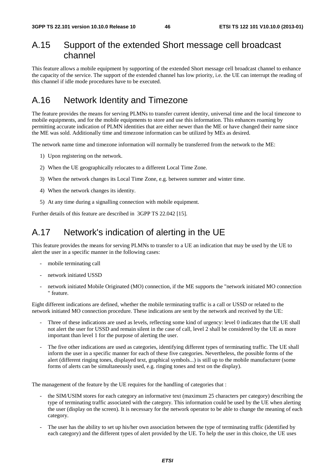# A.15 Support of the extended Short message cell broadcast channel

This feature allows a mobile equipment by supporting of the extended Short message cell broadcast channel to enhance the capacity of the service. The support of the extended channel has low priority, i.e. the UE can interrupt the reading of this channel if idle mode procedures have to be executed.

# A.16 Network Identity and Timezone

The feature provides the means for serving PLMNs to transfer current identity, universal time and the local timezone to mobile equipments, and for the mobile equipments to store and use this information. This enhances roaming by permitting accurate indication of PLMN identities that are either newer than the ME or have changed their name since the ME was sold. Additionally time and timezone information can be utilized by MEs as desired.

The network name time and timezone information will normally be transferred from the network to the ME:

- 1) Upon registering on the network.
- 2) When the UE geographically relocates to a different Local Time Zone.
- 3) When the network changes its Local Time Zone, e.g. between summer and winter time.
- 4) When the network changes its identity.
- 5) At any time during a signalling connection with mobile equipment.

Further details of this feature are described in 3GPP TS 22.042 [15].

## A.17 Network's indication of alerting in the UE

This feature provides the means for serving PLMNs to transfer to a UE an indication that may be used by the UE to alert the user in a specific manner in the following cases:

- mobile terminating call
- network initiated USSD
- network initiated Mobile Originated (MO) connection, if the ME supports the "network initiated MO connection " feature.

Eight different indications are defined, whether the mobile terminating traffic is a call or USSD or related to the network initiated MO connection procedure. These indications are sent by the network and received by the UE:

- Three of these indications are used as levels, reflecting some kind of urgency: level 0 indicates that the UE shall not alert the user for USSD and remain silent in the case of call, level 2 shall be considered by the UE as more important than level 1 for the purpose of alerting the user.
- The five other indications are used as categories, identifying different types of terminating traffic. The UE shall inform the user in a specific manner for each of these five categories. Nevertheless, the possible forms of the alert (different ringing tones, displayed text, graphical symbols...) is still up to the mobile manufacturer (some forms of alerts can be simultaneously used, e.g. ringing tones and text on the display).

The management of the feature by the UE requires for the handling of categories that :

- the SIM/USIM stores for each category an informative text (maximum 25 characters per category) describing the type of terminating traffic associated with the category. This information could be used by the UE when alerting the user (display on the screen). It is necessary for the network operator to be able to change the meaning of each category.
- The user has the ability to set up his/her own association between the type of terminating traffic (identified by each category) and the different types of alert provided by the UE. To help the user in this choice, the UE uses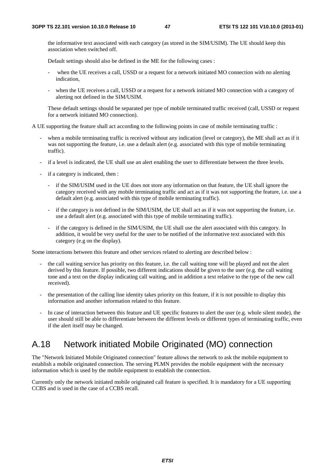the informative text associated with each category (as stored in the SIM/USIM). The UE should keep this association when switched off.

Default settings should also be defined in the ME for the following cases :

- when the UE receives a call, USSD or a request for a network initiated MO connection with no alerting indication,
- when the UE receives a call, USSD or a request for a network initiated MO connection with a category of alerting not defined in the SIM/USIM.

 These default settings should be separated per type of mobile terminated traffic received (call, USSD or request for a network initiated MO connection).

A UE supporting the feature shall act according to the following points in case of mobile terminating traffic :

- when a mobile terminating traffic is received without any indication (level or category), the ME shall act as if it was not supporting the feature, i.e. use a default alert (e.g. associated with this type of mobile terminating traffic).
- if a level is indicated, the UE shall use an alert enabling the user to differentiate between the three levels.
- if a category is indicated, then :
	- if the SIM/USIM used in the UE does not store any information on that feature, the UE shall ignore the category received with any mobile terminating traffic and act as if it was not supporting the feature, i.e. use a default alert (e.g. associated with this type of mobile terminating traffic).
	- if the category is not defined in the SIM/USIM, the UE shall act as if it was not supporting the feature, i.e. use a default alert (e.g. associated with this type of mobile terminating traffic).
	- if the category is defined in the SIM/USIM, the UE shall use the alert associated with this category. In addition, it would be very useful for the user to be notified of the informative text associated with this category (e.g on the display).

Some interactions between this feature and other services related to alerting are described below :

- the call waiting service has priority on this feature, i.e. the call waiting tone will be played and not the alert derived by this feature. If possible, two different indications should be given to the user (e.g. the call waiting tone and a text on the display indicating call waiting, and in addition a text relative to the type of the new call received).
- the presentation of the calling line identity takes priority on this feature, if it is not possible to display this information and another information related to this feature.
- In case of interaction between this feature and UE specific features to alert the user (e.g. whole silent mode), the user should still be able to differentiate between the different levels or different types of terminating traffic, even if the alert itself may be changed.

# A.18 Network initiated Mobile Originated (MO) connection

The "Network Initiated Mobile Originated connection" feature allows the network to ask the mobile equipment to establish a mobile originated connection. The serving PLMN provides the mobile equipment with the necessary information which is used by the mobile equipment to establish the connection.

Currently only the network initiated mobile originated call feature is specified. It is mandatory for a UE supporting CCBS and is used in the case of a CCBS recall.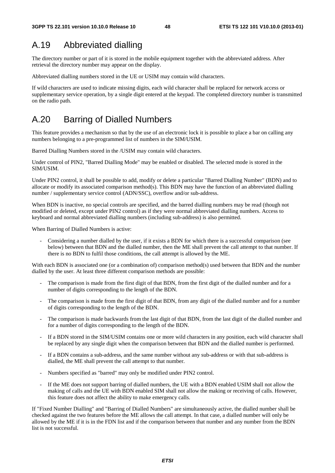# A.19 Abbreviated dialling

The directory number or part of it is stored in the mobile equipment together with the abbreviated address. After retrieval the directory number may appear on the display.

Abbreviated dialling numbers stored in the UE or USIM may contain wild characters.

If wild characters are used to indicate missing digits, each wild character shall be replaced for network access or supplementary service operation, by a single digit entered at the keypad. The completed directory number is transmitted on the radio path.

# A.20 Barring of Dialled Numbers

This feature provides a mechanism so that by the use of an electronic lock it is possible to place a bar on calling any numbers belonging to a pre-programmed list of numbers in the SIM/USIM.

Barred Dialling Numbers stored in the /USIM may contain wild characters.

Under control of PIN2, "Barred Dialling Mode" may be enabled or disabled. The selected mode is stored in the SIM/USIM.

Under PIN2 control, it shall be possible to add, modify or delete a particular "Barred Dialling Number" (BDN) and to allocate or modify its associated comparison method(s). This BDN may have the function of an abbreviated dialling number / supplementary service control (ADN/SSC), overflow and/or sub-address.

When BDN is inactive, no special controls are specified, and the barred dialling numbers may be read (though not modified or deleted, except under PIN2 control) as if they were normal abbreviated dialling numbers. Access to keyboard and normal abbreviated dialling numbers (including sub-address) is also permitted.

When Barring of Dialled Numbers is active:

- Considering a number dialled by the user, if it exists a BDN for which there is a successful comparison (see below) between that BDN and the dialled number, then the ME shall prevent the call attempt to that number. If there is no BDN to fulfil those conditions, the call attempt is allowed by the ME.

With each BDN is associated one (or a combination of) comparison method(s) used between that BDN and the number dialled by the user. At least three different comparison methods are possible:

- The comparison is made from the first digit of that BDN, from the first digit of the dialled number and for a number of digits corresponding to the length of the BDN.
- The comparison is made from the first digit of that BDN, from any digit of the dialled number and for a number of digits corresponding to the length of the BDN.
- The comparison is made backwards from the last digit of that BDN, from the last digit of the dialled number and for a number of digits corresponding to the length of the BDN.
- If a BDN stored in the SIM/USIM contains one or more wild characters in any position, each wild character shall be replaced by any single digit when the comparison between that BDN and the dialled number is performed.
- If a BDN contains a sub-address, and the same number without any sub-address or with that sub-address is dialled, the ME shall prevent the call attempt to that number.
- Numbers specified as "barred" may only be modified under PIN2 control.
- If the ME does not support barring of dialled numbers, the UE with a BDN enabled USIM shall not allow the making of calls and the UE with BDN enabled SIM shall not allow the making or receiving of calls. However, this feature does not affect the ability to make emergency calls.

If "Fixed Number Dialling" and "Barring of Dialled Numbers" are simultaneously active, the dialled number shall be checked against the two features before the ME allows the call attempt. In that case, a dialled number will only be allowed by the ME if it is in the FDN list and if the comparison between that number and any number from the BDN list is not successful.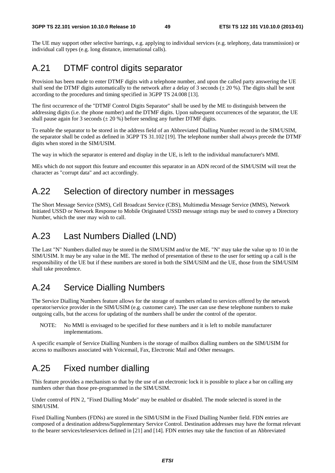The UE may support other selective barrings, e.g. applying to individual services (e.g. telephony, data transmission) or individual call types (e.g. long distance, international calls).

# A.21 DTMF control digits separator

Provision has been made to enter DTMF digits with a telephone number, and upon the called party answering the UE shall send the DTMF digits automatically to the network after a delay of 3 seconds ( $\pm$  20 %). The digits shall be sent according to the procedures and timing specified in 3GPP TS 24.008 [13].

The first occurrence of the "DTMF Control Digits Separator" shall be used by the ME to distinguish between the addressing digits (i.e. the phone number) and the DTMF digits. Upon subsequent occurrences of the separator, the UE shall pause again for 3 seconds  $(\pm 20 \%)$  before sending any further DTMF digits.

To enable the separator to be stored in the address field of an Abbreviated Dialling Number record in the SIM/USIM, the separator shall be coded as defined in 3GPP TS 31.102 [19]. The telephone number shall always precede the DTMF digits when stored in the SIM/USIM.

The way in which the separator is entered and display in the UE, is left to the individual manufacturer's MMI.

MEs which do not support this feature and encounter this separator in an ADN record of the SIM/USIM will treat the character as "corrupt data" and act accordingly.

### A.22 Selection of directory number in messages

The Short Message Service (SMS), Cell Broadcast Service (CBS), Multimedia Message Service (MMS), Network Initiated USSD or Network Response to Mobile Originated USSD message strings may be used to convey a Directory Number, which the user may wish to call.

# A.23 Last Numbers Dialled (LND)

The Last "N" Numbers dialled may be stored in the SIM/USIM and/or the ME. "N" may take the value up to 10 in the SIM/USIM. It may be any value in the ME. The method of presentation of these to the user for setting up a call is the responsibility of the UE but if these numbers are stored in both the SIM/USIM and the UE, those from the SIM/USIM shall take precedence.

# A.24 Service Dialling Numbers

The Service Dialling Numbers feature allows for the storage of numbers related to services offered by the network operator/service provider in the SIM/USIM (e.g. customer care). The user can use these telephone numbers to make outgoing calls, but the access for updating of the numbers shall be under the control of the operator.

NOTE: No MMI is envisaged to be specified for these numbers and it is left to mobile manufacturer implementations.

A specific example of Service Dialling Numbers is the storage of mailbox dialling numbers on the SIM/USIM for access to mailboxes associated with Voicemail, Fax, Electronic Mail and Other messages.

# A.25 Fixed number dialling

This feature provides a mechanism so that by the use of an electronic lock it is possible to place a bar on calling any numbers other than those pre-programmed in the SIM/USIM.

Under control of PIN 2, "Fixed Dialling Mode" may be enabled or disabled. The mode selected is stored in the SIM/USIM.

Fixed Dialling Numbers (FDNs) are stored in the SIM/USIM in the Fixed Dialling Number field. FDN entries are composed of a destination address/Supplementary Service Control. Destination addresses may have the format relevant to the bearer services/teleservices defined in [21] and [14]. FDN entries may take the function of an Abbreviated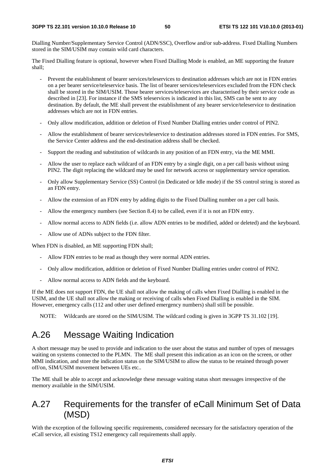Dialling Number/Supplementary Service Control (ADN/SSC), Overflow and/or sub-address. Fixed Dialling Numbers stored in the SIM/USIM may contain wild card characters.

The Fixed Dialling feature is optional, however when Fixed Dialling Mode is enabled, an ME supporting the feature shall;

- Prevent the establishment of bearer services/teleservices to destination addresses which are not in FDN entries on a per bearer service/teleservice basis. The list of bearer services/teleservices excluded from the FDN check shall be stored in the SIM/USIM. Those bearer services/teleservices are characterised by their service code as described in [23]. For instance if the SMS teleservices is indicated in this list, SMS can be sent to any destination. By default, the ME shall prevent the establishment of any bearer service/teleservice to destination addresses which are not in FDN entries.
- Only allow modification, addition or deletion of Fixed Number Dialling entries under control of PIN2.
- Allow the establishment of bearer services/teleservice to destination addresses stored in FDN entries. For SMS, the Service Center address and the end-destination address shall be checked.
- Support the reading and substitution of wildcards in any position of an FDN entry, via the ME MMI.
- Allow the user to replace each wildcard of an FDN entry by a single digit, on a per call basis without using PIN2. The digit replacing the wildcard may be used for network access or supplementary service operation.
- Only allow Supplementary Service (SS) Control (in Dedicated or Idle mode) if the SS control string is stored as an FDN entry.
- Allow the extension of an FDN entry by adding digits to the Fixed Dialling number on a per call basis.
- Allow the emergency numbers (see Section 8.4) to be called, even if it is not an FDN entry.
- Allow normal access to ADN fields (i.e. allow ADN entries to be modified, added or deleted) and the keyboard.
- Allow use of ADNs subject to the FDN filter.

When FDN is disabled, an ME supporting FDN shall;

- Allow FDN entries to be read as though they were normal ADN entries.
- Only allow modification, addition or deletion of Fixed Number Dialling entries under control of PIN2.
- Allow normal access to ADN fields and the keyboard.

If the ME does not support FDN, the UE shall not allow the making of calls when Fixed Dialling is enabled in the USIM, and the UE shall not allow the making or receiving of calls when Fixed Dialling is enabled in the SIM. However, emergency calls (112 and other user defined emergency numbers) shall still be possible.

NOTE: Wildcards are stored on the SIM/USIM. The wildcard coding is given in 3GPP TS 31.102 [19].

# A.26 Message Waiting Indication

A short message may be used to provide and indication to the user about the status and number of types of messages waiting on systems connected to the PLMN. The ME shall present this indication as an icon on the screen, or other MMI indication, and store the indication status on the SIM/USIM to allow the status to be retained through power off/on, SIM/USIM movement between UEs etc..

The ME shall be able to accept and acknowledge these message waiting status short messages irrespective of the memory available in the SIM/USIM.

# A.27 Requirements for the transfer of eCall Minimum Set of Data (MSD)

With the exception of the following specific requirements, considered necessary for the satisfactory operation of the eCall service, all existing TS12 emergency call requirements shall apply.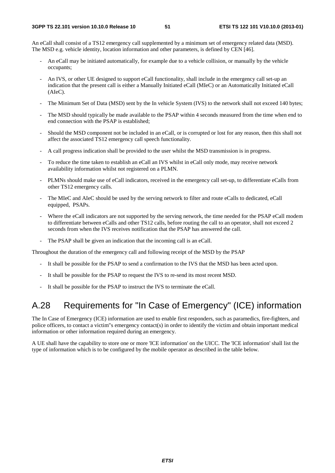An eCall shall consist of a TS12 emergency call supplemented by a minimum set of emergency related data (MSD). The MSD e.g. vehicle identity, location information and other parameters, is defined by CEN [46].

- An eCall may be initiated automatically, for example due to a vehicle collision, or manually by the vehicle occupants;
- An IVS, or other UE designed to support eCall functionality, shall include in the emergency call set-up an indication that the present call is either a Manually Initiated eCall (MIeC) or an Automatically Initiated eCall (AIeC).
- The Minimum Set of Data (MSD) sent by the In vehicle System (IVS) to the network shall not exceed 140 bytes;
- The MSD should typically be made available to the PSAP within 4 seconds measured from the time when end to end connection with the PSAP is established;
- Should the MSD component not be included in an eCall, or is corrupted or lost for any reason, then this shall not affect the associated TS12 emergency call speech functionality.
- A call progress indication shall be provided to the user whilst the MSD transmission is in progress.
- To reduce the time taken to establish an eCall an IVS whilst in eCall only mode, may receive network availability information whilst not registered on a PLMN.
- PLMNs should make use of eCall indicators, received in the emergency call set-up, to differentiate eCalls from other TS12 emergency calls.
- The MIeC and AIeC should be used by the serving network to filter and route eCalls to dedicated, eCall equipped, PSAPs.
- Where the eCall indicators are not supported by the serving network, the time needed for the PSAP eCall modem to differentiate between eCalls and other TS12 calls, before routing the call to an operator, shall not exceed 2 seconds from when the IVS receives notification that the PSAP has answered the call.
- The PSAP shall be given an indication that the incoming call is an eCall.

Throughout the duration of the emergency call and following receipt of the MSD by the PSAP

- It shall be possible for the PSAP to send a confirmation to the IVS that the MSD has been acted upon.
- It shall be possible for the PSAP to request the IVS to re-send its most recent MSD.
- It shall be possible for the PSAP to instruct the IVS to terminate the eCall.

# A.28 Requirements for "In Case of Emergency" (ICE) information

The In Case of Emergency (ICE) information are used to enable first responders, such as paramedics, fire-fighters, and police officers, to contact a victim"s emergency contact(s) in order to identify the victim and obtain important medical information or other information required during an emergency.

A UE shall have the capability to store one or more 'ICE information' on the UICC. The 'ICE information' shall list the type of information which is to be configured by the mobile operator as described in the table below.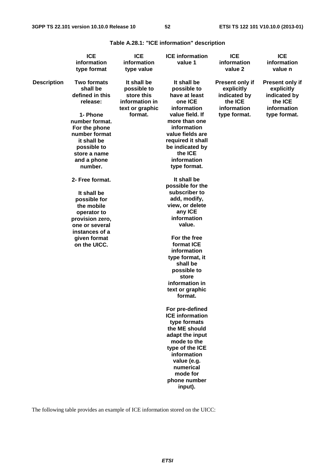**Table A.28.1: "ICE information" description** 

|                    | <b>ICE</b><br>information<br>type format                                                                                                                                                                                                                                                                                                                                    | <b>ICE</b><br>information<br>type value                                                  | <b>ICE</b> information<br>value 1                                                                                                                                                                                                                                                                                                                                                                                                                                                                                                                                                                                                                                                                                                  | <b>ICE</b><br>information<br>value 2                                                           | <b>ICE</b><br>information<br>value n                                                    |
|--------------------|-----------------------------------------------------------------------------------------------------------------------------------------------------------------------------------------------------------------------------------------------------------------------------------------------------------------------------------------------------------------------------|------------------------------------------------------------------------------------------|------------------------------------------------------------------------------------------------------------------------------------------------------------------------------------------------------------------------------------------------------------------------------------------------------------------------------------------------------------------------------------------------------------------------------------------------------------------------------------------------------------------------------------------------------------------------------------------------------------------------------------------------------------------------------------------------------------------------------------|------------------------------------------------------------------------------------------------|-----------------------------------------------------------------------------------------|
| <b>Description</b> | <b>Two formats</b><br>shall be<br>defined in this<br>release:<br>1- Phone<br>number format.<br>For the phone<br>number format<br>it shall be<br>possible to<br>store a name<br>and a phone<br>number.<br>2- Free format.<br>It shall be<br>possible for<br>the mobile<br>operator to<br>provision zero,<br>one or several<br>instances of a<br>given format<br>on the UICC. | It shall be<br>possible to<br>store this<br>information in<br>text or graphic<br>format. | It shall be<br>possible to<br>have at least<br>one ICE<br>information<br>value field. If<br>more than one<br>information<br>value fields are<br>required it shall<br>be indicated by<br>the ICE<br>information<br>type format.<br>It shall be<br>possible for the<br>subscriber to<br>add, modify,<br>view, or delete<br>any ICE<br>information<br>value.<br>For the free<br>format ICE<br>information<br>type format, it<br>shall be<br>possible to<br>store<br>information in<br>text or graphic<br>format.<br>For pre-defined<br><b>ICE</b> information<br>type formats<br>the ME should<br>adapt the input<br>mode to the<br>type of the ICE<br>information<br>value (e.g.<br>numerical<br>mode for<br>phone number<br>input). | <b>Present only if</b><br>explicitly<br>indicated by<br>the ICE<br>information<br>type format. | Present only if<br>explicitly<br>indicated by<br>the ICE<br>information<br>type format. |

The following table provides an example of ICE information stored on the UICC: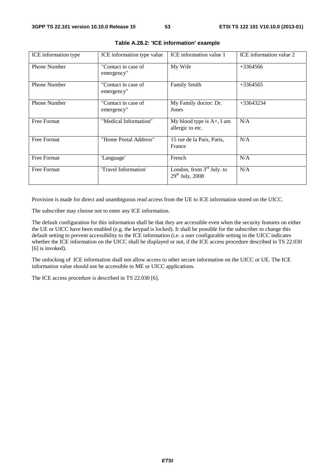| ICE information type | ICE information type value        | ICE information value 1                             | ICE information value 2 |
|----------------------|-----------------------------------|-----------------------------------------------------|-------------------------|
| <b>Phone Number</b>  | "Contact in case of<br>emergency" | My Wife                                             | $+3364566$              |
| <b>Phone Number</b>  | "Contact in case of<br>emergency" | <b>Family Smith</b>                                 | $+3364565$              |
| <b>Phone Number</b>  | "Contact in case of<br>emergency" | My Family doctor: Dr.<br>Jones                      | $+33643234$             |
| Free Format          | "Medical Information"             | My blood type is $A+$ , I am<br>allergic to etc.    | N/A                     |
| Free Format          | "Home Postal Address"             | 15 rue de la Paix, Paris,<br>France                 | N/A                     |
| <b>Free Format</b>   | 'Language'                        | French                                              | N/A                     |
| Free Format          | 'Travel Information'              | London, from $3rd$ July. to<br>$29^{th}$ July, 2008 | N/A                     |

Provision is made for direct and unambiguous read access from the UE to ICE information stored on the UICC.

The subscriber may choose not to enter any ICE information.

The default configuration for this information shall be that they are accessible even when the security features on either the UE or UICC have been enabled (e.g. the keypad is locked). It shall be possible for the subscriber to change this default setting to prevent accessibility to the ICE information (i.e. a user configurable setting in the UICC indicates whether the ICE information on the UICC shall be displayed or not, if the ICE access procedure described in TS 22.030 [6] is invoked).

The unlocking of ICE information shall not allow access to other secure information on the UICC or UE. The ICE information value should not be accessible to ME or UICC applications.

The ICE access procedure is described in TS 22.030 [6].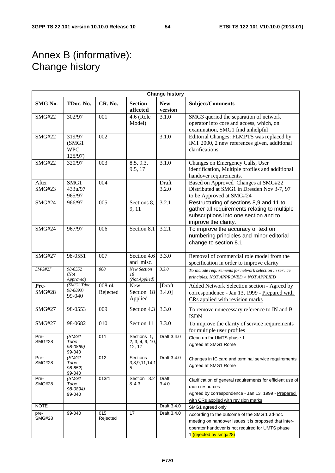# Annex B (informative): Change history

| <b>Change history</b>  |                                           |                    |                                          |                       |                                                                                                                                                                                     |
|------------------------|-------------------------------------------|--------------------|------------------------------------------|-----------------------|-------------------------------------------------------------------------------------------------------------------------------------------------------------------------------------|
| SMG No.                | TDoc. No.                                 | CR. No.            | <b>Section</b><br>affected               | <b>New</b><br>version | Subject/Comments                                                                                                                                                                    |
| <b>SMG#22</b>          | 302/97                                    | 001                | 4.6 (Role<br>Model)                      | 3.1.0                 | SMG3 queried the separation of network<br>operator into core and access, which, on<br>examination, SMG1 find unhelpful                                                              |
| <b>SMG#22</b>          | 319/97<br>(SMG1)<br><b>WPC</b><br>125/97) | 002                |                                          | 3.1.0                 | Editorial Changes: FLMPTS was replaced by<br>IMT 2000, 2 new references given, additional<br>clarifications.                                                                        |
| <b>SMG#22</b>          | 320/97                                    | 003                | 8.5, 9.3,<br>9.5, 17                     | $\overline{3.1.0}$    | Changes on Emergency Calls, User<br>identification, Multiple profiles and additional<br>handover requirements.                                                                      |
| After<br><b>SMG#23</b> | SMG1<br>433u/97<br>965/97                 | 004                |                                          | Draft<br>3.2.0        | Based on Approved Changes at SMG#22<br>Distributed at SMG1 in Dresden Nov 3-7, 97<br>to be Approved at SMG#24                                                                       |
| <b>SMG#24</b>          | 966/97                                    | 005                | Sections 8,<br>9, 11                     | 3.2.1                 | Restructuring of sections 8,9 and 11 to<br>gather all requirements relating to multiple<br>subscriptions into one section and to<br>improve the clarity.                            |
| <b>SMG#24</b>          | 967/97                                    | 006                | Section 8.1                              | 3.2.1                 | To improve the accuracy of text on<br>numbering principles and minor editorial<br>change to section 8.1                                                                             |
| <b>SMG#27</b>          | 98-0551                                   | 007                | Section 4.6<br>and misc.                 | $\overline{3.3.0}$    | Removal of commercial role model from the<br>specification in order to improve clarity                                                                                              |
| <b>SMG#27</b>          | 98-0552<br>(Not<br>Approved)              | 008                | New Section<br>18<br>(Not Applied)       | 3.3.0                 | To include requirements for network selection in service<br>principles: NOT APPROVED > NOT APPLIED                                                                                  |
| Pre-<br><b>SMG#28</b>  | (SMG1 Tdoc<br>98-0893)<br>99-040          | 008 r4<br>Rejected | <b>New</b><br>Section 18<br>Applied      | [Draft]<br>$3.4.0$ ]  | Added Network Selection section - Agreed by<br>correspondence - Jan 13, 1999 - Prepared with<br>CRs applied with revision marks                                                     |
| <b>SMG#27</b>          | 98-0553                                   | 009                | Section 4.3                              | 3.3.0                 | To remove unnecessary reference to IN and B-<br><b>ISDN</b>                                                                                                                         |
| <b>SMG#27</b>          | 98-0682                                   | 010                | Section 11                               | 3.3.0                 | To improve the clarity of service requirements<br>for multiple user profiles                                                                                                        |
| Pre-<br><b>SMG#28</b>  | (SMG1)<br>Tdoc<br>98-0869)<br>99-040      | 011                | Sections 1,<br>2, 3, 4, 9, 10,<br>12, 17 | Draft 3.4.0           | Clean up for UMTS phase 1<br>Agreed at SMG1 Rome                                                                                                                                    |
| Pre-<br><b>SMG#28</b>  | (SMG1)<br>Tdoc<br>98-852)<br>99-040       | 012                | Sections<br>3,8,9,11,14,1<br>5           | Draft 3.4.0           | Changes in IC card and terminal service requirements<br>Agreed at SMG1 Rome                                                                                                         |
| Pre-<br><b>SMG#28</b>  | (SMG1)<br>Tdoc<br>98-0894)<br>99-040      | 013r1              | Section 3.2<br>& 4.3                     | Draft<br>3.4.0        | Clarification of general requirements for efficient use of<br>radio resources<br>Agreed by correspondence - Jan 13, 1999 - Prepared<br>with CRs applied with revision marks         |
| <b>NOTE</b>            |                                           |                    |                                          | Draft 3.4.0           | SMG1 agreed only                                                                                                                                                                    |
| pre-<br><b>SMG#28</b>  | 99-040                                    | 015<br>Rejected    | 17                                       | Draft 3.4.0           | According to the outcome of the SMG 1 ad-hoc<br>meeting on handover issues it is proposed that inter-<br>operator handover is not required for UMTS phase<br>1.(rejected by smg#28) |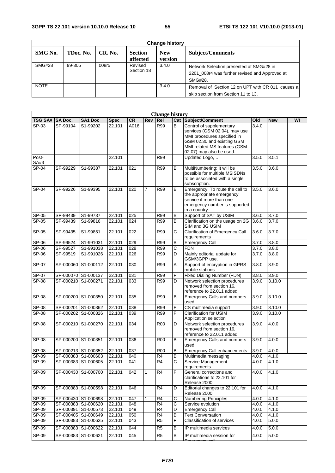| <b>Change history</b> |           |         |                            |                       |                                                                                            |
|-----------------------|-----------|---------|----------------------------|-----------------------|--------------------------------------------------------------------------------------------|
| SMG No.               | TDoc. No. | CR. No. | <b>Section</b><br>affected | <b>New</b><br>version | <b>Subject/Comments</b>                                                                    |
| <b>SMG#28</b>         | 99-305    | 008r5   | Revised<br>Section 18      | 3.4.0                 | Network Selection presented at SMG#28 in<br>2201 008r4 was further revised and Approved at |
|                       |           |         |                            |                       | SMG#28.                                                                                    |
| <b>NOTE</b>           |           |         |                            | 3.4.0                 | Removal of Section 12 on UPT with CR 011 causes a                                          |
|                       |           |         |                            |                       | skip section from Section 11 to 13.                                                        |

|                 | <b>Change history</b> |                     |             |           |                |                |                         |                                                                                                                                                                                    |                    |            |    |
|-----------------|-----------------------|---------------------|-------------|-----------|----------------|----------------|-------------------------|------------------------------------------------------------------------------------------------------------------------------------------------------------------------------------|--------------------|------------|----|
| TSG SA# SA Doc. |                       | SA1 Doc             | <b>Spec</b> | <b>CR</b> | Rev            | Rel            |                         | Cat Subject/Comment                                                                                                                                                                | Old                | <b>New</b> | WI |
| SP-03           | SP-99104              | S1-99202            | 22.101      | A016      |                | R99            | B                       | Control of supplementary<br>services (GSM 02.04), may use<br>MMI procedures specified in<br>GSM 02.30 and existing GSM<br>MMI related MS features (GSM<br>02.07) may also be used. | 3.4.0              |            |    |
| Post-<br>SA#3   |                       |                     | 22.101      |           |                | <b>R99</b>     |                         | Updated Logo,                                                                                                                                                                      | 3.5.0              | 3.5.1      |    |
| $SP-04$         | SP-99229              | S1-99387            | 22.101      | 021       |                | R99            | В                       | MultiNumbering: It will be<br>possible for multiple MSISDNs<br>to be associated with a single<br>subscription.                                                                     | 3.5.0              | 3.6.0      |    |
| SP-04           | SP-99226              | S1-99395            | 22.101      | 020       | $\overline{7}$ | R99            | В                       | Emergency: To route the call to<br>the appropriate emergency<br>service if more than one<br>emergency number is supported<br>in a country.                                         | 3.5.0              | 3.6.0      |    |
| SP-05           | SP-99439              | S1-99737            | 22.101      | 025       |                | <b>R99</b>     | В                       | Support of SAT by USIM                                                                                                                                                             | 3.6.0              | 3.7.0      |    |
| SP-05           | SP-99439              | S1-99816            | 22.101      | 024       |                | R99            | $\overline{B}$          | Clarification on the usage on 2G<br>SIM and 3G USIM                                                                                                                                | 3.6.0              | 3.7.0      |    |
| SP-05           | SP-99435              | S1-99851            | 22.101      | 022       |                | R99            | $\overline{c}$          | <b>Clarification of Emergency Call</b><br>requirements                                                                                                                             | 3.6.0              | 3.7.0      |    |
| SP-06           | SP-99524              | S1-991031           | 22.101      | 029       |                | <b>R99</b>     | B                       | <b>Emergency Call</b>                                                                                                                                                              | 3.7.0              | 3.8.0      |    |
| SP-06           | SP-99527              | S1-991038           | 22.101      | 028       |                | R99            | $\overline{c}$          | <b>FDN</b>                                                                                                                                                                         | 3.7.0              | 3.8.0      |    |
| SP-06           | SP-99519              | S1-991026           | 22.101      | 026       |                | R99            | D                       | Mainly editorial update for<br>GSM/3GPP use.                                                                                                                                       | 3.7.0              | 3.8.0      |    |
| SP-07           | SP-000060             | S1-000112           | 22.101      | 030       |                | R99            | Α                       | Support of encryption in GPRS<br>mobile stations                                                                                                                                   | 3.8.0              | 3.9.0      |    |
| SP-07           | SP-000070 S1-000137   |                     | 22.101      | 031       |                | R99            | F                       | <b>Fixed Dialing Number (FDN)</b>                                                                                                                                                  | 3.8.0              | 3.9.0      |    |
| <b>SP-08</b>    | SP-000210 S1-000271   |                     | 22.101      | 033       |                | R99            | D                       | Network selection procedures<br>removed from section 16,<br>reference to 22.011 added                                                                                              | 3.9.0              | 3.10.0     |    |
| <b>SP-08</b>    | SP-000200 S1-000350   |                     | 22.101      | 035       |                | R99            | B                       | <b>Emergency Calls and numbers</b><br>used                                                                                                                                         | 3.9.0              | 3.10.0     |    |
| <b>SP-08</b>    | SP-000201 S1-000362   |                     | 22.101      | 038       |                | R99            | F                       | CS multimedia support                                                                                                                                                              | 3.9.0              | 3.10.0     |    |
| <b>SP-08</b>    | SP-000202 S1-000326   |                     | 22.101      | 039       |                | R99            | F                       | <b>Clarification for USIM</b><br>Application selection                                                                                                                             | 3.9.0              | 3.10.0     |    |
| <b>SP-08</b>    | SP-000210 S1-000270   |                     | 22.101      | 034       |                | <b>R00</b>     | D                       | Network selection procedures<br>removed from section 16,<br>reference to 22.011 added                                                                                              | 3.9.0              | 4.0.0      |    |
| $SP-08$         | SP-000200 S1-000351   |                     | 22.101      | 036       |                | <b>R00</b>     | $\overline{B}$          | <b>Emergency Calls and numbers</b><br>used                                                                                                                                         | 3.9.0              | 4.0.0      |    |
| <b>SP-08</b>    | SP-000213 S1-000352   |                     | 22.101      | 037       |                | <b>R00</b>     | $\overline{\mathsf{B}}$ | <b>Emergency Call enhancements</b>                                                                                                                                                 | 3.9.0              | 4.0.0      |    |
| SP-09           | SP-000383 S1-000603   |                     | 22.101      | 040       |                | R <sub>4</sub> | B                       | Multimedia messaging                                                                                                                                                               | 4.0.0              | 4.1.0      |    |
| SP-09           | SP-000383 S1-000605   |                     | 22.101      | 041       |                | R <sub>4</sub> | $\overline{\text{c}}$   | Service Management<br>requirements                                                                                                                                                 | 4.0.0              | 4.1.0      |    |
| SP-09           | SP-000430 S1-000700   |                     | 22.101      | 042       | 1              | R <sub>4</sub> | F                       | General corrections and<br>clarifications to 22.101 for<br>Release 2000                                                                                                            | 4.0.0              | 4.1.0      |    |
| SP-09           |                       | SP-000383 S1-000598 | 22.101      | 046       |                | R <sub>4</sub> | D                       | Editorial changes to 22.101 for<br>Release 2000                                                                                                                                    | 4.0.0              | 4.1.0      |    |
| SP-09           | SP-000430 S1-000698   |                     | 22.101      | 047       |                | R4             | С                       | <b>Numbering Principles</b>                                                                                                                                                        | $\overline{4.0.0}$ | 4.1.0      |    |
| SP-09           | SP-000383 S1-000620   |                     | 22.101      | 048       |                | R <sub>4</sub> | $\overline{\text{c}}$   | Service evolution                                                                                                                                                                  | 4.0.0              | 4.1.0      |    |
| SP-09           |                       | SP-000391 S1-000573 | 22.101      | 049       |                | R <sub>4</sub> | D                       | <b>Emergency Call</b>                                                                                                                                                              | 4.0.0              | 4.1.0      |    |
| SP-09           | SP-000405 S1-000649   |                     | 22.101      | 050       |                | R <sub>4</sub> | $\overline{B}$          | <b>Text Conversation</b>                                                                                                                                                           | 4.0.0              | 4.1.0      |    |
| <b>SP-09</b>    |                       | SP-000383 S1-000625 | 22.101      | 043       |                | R <sub>5</sub> | F                       | <b>Classification of services</b>                                                                                                                                                  | 4.0.0              | 5.0.0      |    |
| SP-09           | SP-000383 S1-000622   |                     | 22.101      | 044       |                | R <sub>5</sub> | В                       | IP multimedia services                                                                                                                                                             | 4.0.0              | 5.0.0      |    |
| <b>SP-09</b>    | SP-000383 S1-000621   |                     | 22.101      | 045       |                | R <sub>5</sub> | В                       | IP multimedia session for                                                                                                                                                          | 4.0.0              | 5.0.0      |    |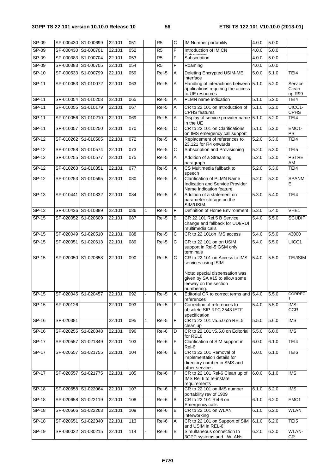| $SP-09$      | SP-000430 S1-000699 |                     | 22.101 | 051              |              | R5      | C              | IM Number portability                                                                                                                                          | 4.0.0              | 5.0.0 |                            |
|--------------|---------------------|---------------------|--------|------------------|--------------|---------|----------------|----------------------------------------------------------------------------------------------------------------------------------------------------------------|--------------------|-------|----------------------------|
| $SP-09$      | SP-000430 S1-000701 |                     | 22.101 | 052              |              | R5      | F              | Introduction of IM CN                                                                                                                                          | 4.0.0              | 5.0.0 |                            |
| $SP-09$      |                     | SP-000383 S1-000704 | 22.101 | 053              |              | R5      | F              | Subscription                                                                                                                                                   | 4.0.0              | 5.0.0 |                            |
| $SP-09$      |                     | SP-000383 S1-000705 | 22.101 | 054              |              | R5      | F              | Roaming                                                                                                                                                        | 4.0.0              | 5.0.0 |                            |
| SP-10        |                     | SP-000533 S1-000799 | 22.101 | $\overline{059}$ |              | Rel-5   | Α              | Deleting Encrypted USIM-ME<br>interface                                                                                                                        | 5.0.0              | 5.1.0 | TEI4                       |
| $SP-11$      |                     | SP-010053 S1-010072 | 22.101 | 063              |              | Rel-5   | Α              | Handling of interactions between 5.1.0<br>applications requiring the access<br>to UE resources                                                                 |                    | 5.2.0 | Service<br>Clean<br>up R99 |
| $SP-11$      |                     | SP-010054 S1-010208 | 22.101 | 065              |              | Rel-5   | Α              | PLMN name indication                                                                                                                                           | 5.1.0              | 5.2.0 | TEI4                       |
| $SP-11$      |                     | SP-010055 S1-010179 | 22.101 | 067              |              | Rel-5   | Α              | CR to 22.101 on Introduction of<br><b>CPHS</b> features                                                                                                        | 5.1.0              | 5.2.0 | UICC1-<br><b>CPHS</b>      |
| $SP-11$      |                     | SP-010056 S1-010210 | 22.101 | 069              |              | Rel-5   | Α              | Display of service provider name 5.1.0<br>in the UE                                                                                                            |                    | 5.2.0 | TEI4                       |
| SP-11        |                     | SP-010057 S1-010250 | 22.101 | 070              |              | Rel-5   | C              | CR to 22.101 on Clarifications<br>on IMS emergency call support                                                                                                | $\overline{5.1.0}$ | 5.2.0 | EMC1-<br>PS                |
| $SP-12$      |                     | SP-010262 S1-010505 | 22.101 | 072              |              | $Rel-5$ | Α              | Replacement of references to<br>23.121 for R4 onwards                                                                                                          | 5.2.0              | 5.3.0 | TEI4                       |
| $SP-12$      |                     | SP-010258 S1-010574 | 22.101 | 073              |              | $Rel-5$ | C              | Subscription and Provisioning                                                                                                                                  | 5.2.0              | 5.3.0 | TEI <sub>5</sub>           |
| SP-12        |                     | SP-010255 S1-010577 | 22.101 | 075              |              | Rel-5   | Α              | Addition of a Streaming<br>paragraph                                                                                                                           | 5.2.0              | 5.3.0 | <b>PSTRE</b><br>AM         |
| $SP-12$      | SP-010263 S1-010351 |                     | 22.101 | 077              |              | $Rel-5$ | Α              | CS Multimedia fallback to<br>speech                                                                                                                            | 5.2.0              | 5.3.0 | TEI4                       |
| $SP-12$      |                     | SP-010253 S1-010595 | 22.101 | $\overline{080}$ |              | $Rel-5$ | Α              | <b>Clarification of PLMN Name</b><br>Indication and Service Provider<br>Name Indication feature.                                                               | 5.2.0              | 5.3.0 | <b>SPANM</b><br>Е          |
| SP-13        |                     | SP-010441 S1-010832 | 22.101 | 084              |              | Rel-5   | Α              | Addition of a statement on<br>parameter storage on the<br>SIM/USIM.                                                                                            | 5.3.0              | 5.4.0 | TEI4                       |
| $SP-13$      |                     | SP-010436 S1-010889 | 22.101 | 086              | $\mathbf{1}$ | $Rel-5$ | F              | Definition of Home Environment                                                                                                                                 | 5.3.0              | 5.4.0 | VHE <sub>1</sub>           |
| SP-15        |                     | SP-020052 S1-020609 | 22.101 | 087              |              | Rel-5   | в              | CR 22.101 Rel.5 B Service<br>change and fallback for UDI/RDI<br>multimedia calls                                                                               | 5.4.0              | 5.5.0 | <b>SCUDIF</b>              |
| $SP-15$      |                     | SP-020049 S1-020510 | 22.101 | 088              |              | Rel-5   | $\overline{c}$ | CR to 22.101on IMS access                                                                                                                                      | 5.4.0              | 5.5.0 | 43000                      |
| $SP-15$      |                     | SP-020051 S1-020613 | 22.101 | 089              |              | Rel-5   | С              | CR to 22.101 on on USIM<br>support in Rel-5 GSM only<br>terminals                                                                                              | 5.4.0              | 5.5.0 | UICC1                      |
| $SP-15$      |                     | SP-020050 S1-020658 | 22.101 | 090              |              | Rel-5   | C              | CR to 22.101 on Access to IMS<br>services using ISIM<br>Note: special dispensation was<br>given by SA #15 to allow some<br>leeway on the section<br>numbering. | 5.4.0              | 5.5.0 | <b>TEI/ISIM</b>            |
| SP-15        |                     | SP-020045 S1-020457 | 22.101 | 092              |              | Rel-5   | Α              | Editorial CR to correct terms and 5.4.0<br>references                                                                                                          |                    | 5.5.0 | CORREC<br>т                |
| <b>SP-15</b> | SP-020126           |                     | 22.101 | 093              |              | Rel-5   | F              | Correction of references to<br>obsolete SIP RFC 2543 IETF<br>specification                                                                                     | 5.4.0              | 5.5.0 | IMS-<br><b>CCR</b>         |
| SP-16        | SP-020381           |                     | 22.101 | 095              | $\mathbf{1}$ | Rel-5   | F              | CR to 22.101 v5.5.0 on REL5<br>clean up                                                                                                                        | 5.5.0              | 5.6.0 | <b>IMS</b>                 |
| $SP-16$      |                     | SP-020255 S1-020848 | 22.101 | 096              |              | $Rel-6$ | D              | CR to 22.101 v5.5.0 on Editorial<br>for REL6                                                                                                                   | 5.5.0              | 6.0.0 | MS                         |
| $SP-17$      |                     | SP-020557 S1-021849 | 22.101 | 103              |              | Rel-6   | F              | Clarification of SIM support in<br>Rel-6                                                                                                                       | 6.0.0              | 6.1.0 | TEI4                       |
| SP-17        |                     | SP-020557 S1-021755 | 22.101 | 104              |              | Rel-6   | B              | CR to 22.101 Removal of<br>implementation details for<br>directory number in SMS and<br>other services                                                         | 6.0.0              | 6.1.0 | TEI <sub>6</sub>           |
| SP-17        |                     | SP-020557 S1-021775 | 22.101 | 105              |              | Rel-6   | F              | CR to 22.101 Rel-6 Clean up of<br>IMS Rel 6 to re-instate<br>requirements                                                                                      | 6.0.0              | 6.1.0 | <b>IMS</b>                 |
| SP-18        |                     | SP-020658 S1-022064 | 22.101 | 107              |              | Rel-6   | B              | CR to 22.101 on IMS number<br>portability rev of 1909                                                                                                          | 6.1.0              | 6.2.0 | <b>IMS</b>                 |
| SP-18        |                     | SP-020658 S1-022119 | 22.101 | 108              |              | Rel-6   | В              | CR to 22.101 Rel 6 on<br>Emergency calls                                                                                                                       | 6.1.0              | 6.2.0 | EMC1                       |
| $SP-18$      |                     | SP-020666 S1-022263 | 22.101 | 109              |              | Rel-6   | B              | CR to 22.101 on WLAN<br>interworking                                                                                                                           | 6.1.0              | 6.2.0 | <b>WLAN</b>                |
| $SP-18$      |                     | SP-020651 S1-022340 | 22.101 | 113              |              | Rel-6   | Α              | CR to 22.101 on Support of SIM<br>and USIM in REL-6                                                                                                            | 6.1.0              | 6.2.0 | TEI <sub>5</sub>           |
| $SP-19$      |                     | SP-030022 S1-030215 | 22.101 | 114              |              | Rel-6   | в              | Simultaneous connection to<br>3GPP systems and I-WLANs                                                                                                         | 6.2.0              | 6.3.0 | WLAN-<br>CR                |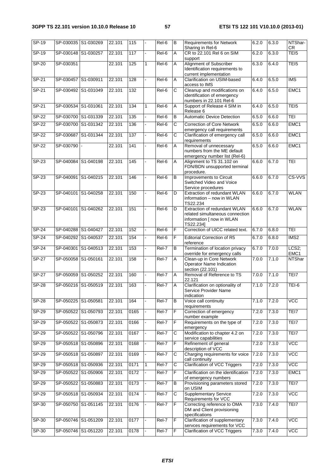| $SP-19$      |                     | SP-030035 S1-030269 | 22.101 | 115              |              | Rel-6   | B                     | <b>Requirements for Network</b><br>Sharing in Rel-6                                                       | 6.2.0 | 6.3.0 | NTShar-<br>CR              |
|--------------|---------------------|---------------------|--------|------------------|--------------|---------|-----------------------|-----------------------------------------------------------------------------------------------------------|-------|-------|----------------------------|
| $SP-19$      | SP-030148 S1-030257 |                     | 22.101 | $\overline{117}$ | L.           | Rel-6   | A                     | CR to 22.101 Rel 6 on SIM<br>support                                                                      | 6.2.0 | 6.3.0 | TEI <sub>5</sub>           |
| SP-20        | SP-030351           |                     | 22.101 | 125              | $\mathbf{1}$ | Rel-6   | A                     | Alignment of Subscriber<br>Identification requirements to<br>current implementation                       | 6.3.0 | 6.4.0 | TE <sub>15</sub>           |
| SP-21        | SP-030457 S1-030911 |                     | 22.101 | 128              |              | Rel-6   | A                     | Clarification on USIM-based<br>access to IMS                                                              | 6.4.0 | 6.5.0 | <b>IMS</b>                 |
| $SP-21$      |                     | SP-030492 S1-031049 | 22.101 | 132              |              | Rel-6   | $\overline{\text{c}}$ | Cleanup and modifications on<br>identification of emergency<br>numbers in 22.101 Rel-6                    | 6.4.0 | 6.5.0 | EMC1                       |
| SP-21        | SP-030534 S1-031061 |                     | 22.101 | 134              | 1            | Rel-6   | Α                     | Support of Release 4 SIM in<br>Release 6                                                                  | 6.4.0 | 6.5.0 | TEI <sub>5</sub>           |
| <b>SP-22</b> |                     | SP-030700 S1-031339 | 22.101 | 135              |              | Rel-6   | B                     | <b>Automatic Device Detection</b>                                                                         | 6.5.0 | 6.6.0 | TEI                        |
| $SP-22$      |                     | SP-030700 S1-031342 | 22.101 | 136              |              | Rel-6   | С                     | <b>Correction of Core Network</b><br>emergency call requirements                                          | 6.5.0 | 6.6.0 | EMC1                       |
| $SP-22$      |                     | SP-030687 S1-031344 | 22.101 | 137              |              | Rel-6   | С                     | Clarification of emergency call<br>requirements                                                           | 6.5.0 | 6.6.0 | EMC1                       |
| <b>SP-22</b> | SP-030790           |                     | 22.101 | 141              | ä,           | Rel-6   | A                     | Removal of unnecessary<br>numbers from the ME default<br>emergency number list (Rel-6)                    | 6.5.0 | 6.6.0 | EMC1                       |
| SP-23        | SP-040084           | S1-040198           | 22.101 | 145              |              | Rel-6   | Α                     | Alignment to TS 31.102 on<br>FDN/BDN unsupported terminal<br>procedure.                                   | 6.6.0 | 6.7.0 | TEI                        |
| SP-23        |                     | SP-040091 S1-040215 | 22.101 | 146              |              | Rel-6   | B                     | Improvements to Circuit<br>Switched Video and Voice<br>Service procedures                                 | 6.6.0 | 6.7.0 | CS-VVS                     |
| SP-23        |                     | SP-040101 S1-040258 | 22.101 | 150              |              | Rel-6   | D                     | Extraction of redundant WLAN<br>information - now in WLAN<br>TS22.234                                     | 6.6.0 | 6.7.0 | <b>WLAN</b>                |
| $SP-23$      | SP-040101           | S1-040262           | 22.101 | 151              |              | Rel-6   | D                     | Extraction of redundant WLAN<br>related simultaneous connection<br>information [ now in WLAN<br>TS22.234] | 6.6.0 | 6.7.0 | <b>WLAN</b>                |
| $SP-24$      | SP-040288 S1-040427 |                     | 22.101 | 152              | ÷.           | $Rel-6$ | F                     | Correction of UICC related text.                                                                          | 6.7.0 | 6.8.0 | TEI                        |
| $SP-24$      |                     | SP-040292 S1-040537 | 22.101 | 154              |              | Rel-6   | F                     | <b>Editorial Correction of R5</b><br>reference                                                            | 6.7.0 | 6.8.0 | IMS2                       |
| $SP-24$      |                     | SP-040301 S1-040513 | 22.101 | 153              |              | Rel-7   | B                     | Termination of location privacy<br>override for emergency calls                                           | 6.7.0 | 7.0.0 | LCS <sub>2</sub> ;<br>EMC1 |
| $SP-27$      | SP-050058 S1-050161 |                     | 22.101 | 158              |              | Rel-7   | Α                     | Clean-up in Core Network<br>Operator Name Indication<br>section (22.101)                                  | 7.0.0 | 7.1.0 | <b>NTShar</b>              |
| $SP-27$      |                     | SP-050059 S1-050252 | 22.101 | 160              |              | Rel-7   | Α                     | Removal of Reference to TS<br>22.121                                                                      | 7.0.0 | 7.1.0 | TEI7                       |
| $SP-28$      |                     | SP-050216 S1-050519 | 22.101 | 163              |              | Rel-7   | A                     | Clarification on optionality of<br>Service Provider Name<br>indication                                    | 7.1.0 | 7.2.0 | TEI-6                      |
| $SP-28$      | SP-050225 S1-050581 |                     | 22.101 | 164              |              | Rel-7   | B                     | Voice call continuity<br>requirements                                                                     | 7.1.0 | 7.2.0 | $\overline{VCC}$           |
| $SP-29$      |                     | SP-050522 S1-050793 | 22.101 | 0165             |              | Rel-7   | F                     | Correction of emergency<br>number example                                                                 | 7.2.0 | 7.3.0 | TEI7                       |
| $SP-29$      |                     | SP-050522 S1-050873 | 22.101 | 0166             |              | Rel-7   | F                     | Requirements on the type of<br>emergency                                                                  | 7.2.0 | 7.3.0 | TEI7                       |
| $SP-29$      |                     | SP-050522 S1-050796 | 22.101 | 0167             |              | Rel-7   | $\overline{C}$        | Modification to chapter 4.2 on<br>service capabilities                                                    | 7.2.0 | 7.3.0 | TEI7                       |
| $SP-29$      |                     | SP-050518 S1-050896 | 22.101 | 0168             |              | Rel-7   | F                     | Refinement of general<br>description of VCC                                                               | 7.2.0 | 7.3.0 | <b>VCC</b>                 |
| SP-29        |                     | SP-050518 S1-050897 | 22.101 | 0169             | ÷.           | Rel-7   | C                     | Charging requirements for voice<br>call continuity                                                        | 7.2.0 | 7.3.0 | VCC                        |
| $SP-29$      |                     | SP-050518 S1-050936 | 22.101 | 0171             | 1            | Rel-7   | $\overline{C}$        | <b>Clarification of VCC Triggers</b>                                                                      | 7.2.0 | 7.3.0 | <b>VCC</b>                 |
| SP-29        |                     | SP-050522 S1-050906 | 22.101 | 0172             |              | Rel-7   | F                     | Clarification on the identification<br>of emergency numbers                                               | 7.2.0 | 7.3.0 | EMC1                       |
| SP-29        |                     | SP-050522 S1-050883 | 22.101 | 0173             | ÷,           | Rel-7   | B                     | Provisioning parameters stored<br>on USIM                                                                 | 7.2.0 | 7.3.0 | TEI7                       |
| $SP-29$      |                     | SP-050518 S1-050934 | 22.101 | 0174             |              | Rel-7   | С                     | <b>Supplementary Service</b><br>Requirements for VCC                                                      | 7.2.0 | 7.3.0 | <b>VCC</b>                 |
| $SP-30$      |                     | SP-050750 S1-051145 | 22.101 | 0176             |              | Rel-7   | F                     | Correcting reference to OMA<br>DM and Client provisioning<br>specifications                               | 7.3.0 | 7.4.0 | TEI7                       |
| $SP-30$      |                     | SP-050746 S1-051209 | 22.101 | 0177             | ÷.           | Rel-7   | F                     | Clarification of supplementary<br>servces requirements for VCC                                            | 7.3.0 | 7.4.0 | $\overline{VCC}$           |
| $SP-30$      |                     | SP-050746 S1-051220 | 22.101 | 0178             |              | Rel-7   | F                     | Clarification of VCC Triggers                                                                             | 7.3.0 | 7.4.0 | <b>VCC</b>                 |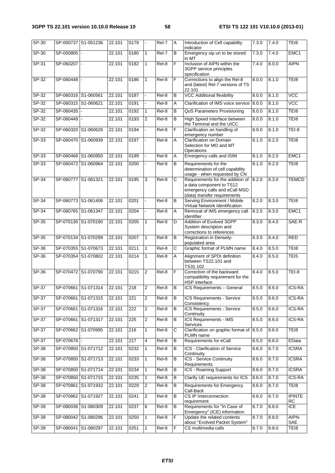| SP-30   |                     | SP-050737 S1-051236 | 22.101 | 0179 |                | Rel-7   | $\overline{A}$        | Introduction of Cell capability<br>indicator                                                                                  | 7.3.0 | 7.4.0 | TEI6                       |
|---------|---------------------|---------------------|--------|------|----------------|---------|-----------------------|-------------------------------------------------------------------------------------------------------------------------------|-------|-------|----------------------------|
| $SP-30$ | SP-050805           |                     | 22.101 | 0180 | 1              | Rel-7   | B                     | Emergency sip uri to be stored<br>in MT                                                                                       | 7.3.0 | 7.4.0 | EMC1                       |
| SP-31   | SP-060207           |                     | 22.101 | 0182 | $\mathbf{1}$   | Rel-8   | F                     | Inclusion of AIPN within the<br>3GPP service principles<br>specification                                                      | 7.4.0 | 8.0.0 | <b>AIPN</b>                |
| SP-32   | SP-060448           |                     | 22.101 | 0186 | 1              | Rel-8   | F                     | Corrections to align the Rel-8<br>and (latest) Rel-7 versions of TS<br>22.101                                                 | 8.0.0 | 8.1.0 | TEI8                       |
| SP-32   | SP-060316 S1-060561 |                     | 22.101 | 0187 |                | $Rel-8$ | B                     | <b>VCC Additional flexibility</b>                                                                                             | 8.0.0 | 8.1.0 | <b>VCC</b>                 |
| $SP-32$ |                     | SP-060315 S1-060621 | 22.101 | 0191 |                | Rel-8   | A                     | Clarification of IMS voice service 8.0.0                                                                                      |       | 8.1.0 | $\overline{VCC}$           |
| $SP-32$ | SP-060435           |                     | 22.101 | 0192 | 1              | Rel-8   | B                     | QoS Parameters Provisioning                                                                                                   | 8.0.0 | 8.1.0 | TEI8                       |
| $SP-32$ | SP-060449 -         |                     | 22.101 | 0193 | $\overline{2}$ | Rel-8   | В                     | High Speed Interface between<br>the Terminal and the UICC                                                                     | 8.0.0 | 8.1.0 | TEI8                       |
| $SP-32$ |                     | SP-060320 S1-060626 | 22.101 | 0194 |                | $Rel-8$ | F                     | Clarification on handling of<br>emergency number                                                                              | 8.0.0 | 8.1.0 | TEI-8                      |
| SP-33   |                     | SP-060470 S1-060939 | 22.101 | 0197 |                | Rel-8   | A                     | Clarification on Domain<br>Selection for MO and MT<br>Operations                                                              | 8.1.0 | 8.2.0 | TEI8                       |
| $SP-33$ |                     | SP-060468 S1-060950 | 22.101 | 0199 |                | $Rel-8$ | Α                     | Emergency calls and ISIM                                                                                                      | 8.1.0 | 8.2.0 | EMC1                       |
| $SP-33$ |                     | SP-060472 S1-060964 | 22.101 | 0200 |                | Rel-8   | В                     | Requirements for the<br>determination of cell capability<br>usage - when requested by CN                                      | 8.1.0 | 8.2.0 | TEI8                       |
| $SP-34$ |                     | SP-060777 S1-061321 | 22.101 | 0195 | 3              | $Rel-8$ | $\overline{\text{c}}$ | Requirements for the addition of<br>a data component to TS12<br>emergency calls and eCall MSD<br>(data) transfer requirements | 8.2.0 | 8.3.0 | <b>TEMCD</b>               |
| $SP-34$ |                     | SP-060773 S1-061406 | 22.101 | 0201 |                | Rel-8   | B                     | <b>Serving Environment / Mobile</b><br>Virtual Network Identification                                                         | 8.2.0 | 8.3.0 | TEI8                       |
| SP-34   |                     | SP-060765 S1-061347 | 22.101 | 0204 |                | Rel-8   | Α                     | Removal of IMS emergency call<br>identifier                                                                                   | 8.2.0 | 8.3.0 | EMC1                       |
| $SP-35$ |                     | SP-070130 S1-070190 | 22.101 | 0205 | 1              | Rel-8   | D                     | Addition of Evolved 3GPP<br>System description and                                                                            | 8.3.0 | 8.4.0 | SAE-R                      |
| $SP-35$ |                     | SP-070134 S1-070299 | 22.101 | 0207 | $\mathbf{1}$   | Rel-8   | B                     | corrections to references<br><b>Registration in Densely-</b><br>populated area                                                | 8.3.0 | 8.4.0 | <b>RED</b>                 |
| $SP-36$ |                     | SP-070355 S1-070673 | 22.101 | 0211 | $\mathbf{1}$   | Rel-8   | C                     | Graphic format of PLMN name                                                                                                   | 8.4.0 | 8.5.0 | TEI8                       |
| $SP-36$ |                     | SP-070354 S1-070802 | 22.101 | 0214 | 1              | Rel-8   | A                     | Alignment of SPDI definition<br>between TS22.101 and<br>TS31.102                                                              | 8.4.0 | 8.5.0 | TEI <sub>5</sub>           |
| SP-36   |                     | SP-070472 S1-070790 | 22.101 | 0215 | $\overline{c}$ | $Rel-8$ | F                     | Correction of the backward<br>compatibility requirement for the<br>HSP interface                                              | 8.4.0 | 8.5.0 | $TEI-8$                    |
| $SP-37$ |                     | SP-070661 S1-071314 | 22.101 | 218  | $\overline{2}$ | Rel-8   | B                     | ICS Requirements - General                                                                                                    | 8.5.0 | 8.6.0 | <b>ICS-RA</b>              |
| SP-37   |                     | SP-070661 S1-071315 | 22.101 | 221  | $\overline{2}$ | Rel-8   | $\sf B$               | ICS Requirements - Service<br>Consistency                                                                                     | 8.5.0 | 8.6.0 | <b>ICS-RA</b>              |
| $SP-37$ |                     | SP-070661 S1-071316 | 22.101 | 222  | 2              | Rel-8   | B                     | <b>ICS Requirements - Service</b><br>Continuity                                                                               | 8.5.0 | 8.6.0 | <b>ICS-RA</b>              |
| $SP-37$ |                     | SP-070661 S1-071317 | 22.101 | 225  | 2              | Rel-8   | в                     | <b>ICS Requirements - IMS</b><br>Services                                                                                     | 8.5.0 | 8.6.0 | ICS-RA                     |
| SP-37   |                     | SP-070662 S1-070995 | 22.101 | 216  | 1              | Rel-8   | C                     | Clarification on graphic format of 8.5.0<br>PLMN name                                                                         |       | 8.6.0 | TEI8                       |
| $SP-37$ | SP-070676 -         |                     | 22.101 | 217  | 4              | Rel-8   | B                     | Requirements for eCall                                                                                                        | 8.5.0 | 8.6.0 | EData                      |
| $SP-38$ |                     | SP-070850 S1-071712 | 22.101 | 0232 | 1              | Rel-8   | в                     | ICS - Clarification of Service<br>Continuity                                                                                  | 8.6.0 | 8.7.0 | <b>ICSRA</b>               |
| $SP-38$ |                     | SP-070850 S1-071713 | 22.101 | 0233 | 1              | Rel-8   | B                     | <b>ICS - Service Continuity</b><br>Requirements                                                                               | 8.6.0 | 8.7.0 | <b>ICSRA</b>               |
| $SP-38$ |                     | SP-070850 S1-071714 | 22.101 | 0234 | 1              | Rel-8   | B                     | ICS - Roaming Support                                                                                                         | 8.6.0 | 8.7.0 | <b>ICSRA</b>               |
| $SP-38$ |                     | SP-070850 S1-071715 | 22.101 | 0235 | 1              | Rel-8   | в                     | Clarify UE requirements for ICS                                                                                               | 8.6.0 | 8.7.0 | <b>ICS-RA</b>              |
| $SP-38$ |                     | SP-070861 S1-071932 | 22.101 | 0229 | $\overline{c}$ | Rel-8   | B                     | <b>Requirements for Emergency</b><br>Call-Back                                                                                | 8.6.0 | 8.7.0 | TEI8                       |
| $SP-38$ |                     | SP-070862 S1-071927 | 22.101 | 0241 | $\overline{2}$ | Rel-8   | B                     | CS IP Interconnection<br>requirement                                                                                          | 8.6.0 | 8.7.0 | <b>IPINTE</b><br><b>RC</b> |
| SP-39   |                     | SP-080036 S1-080309 | 22.101 | 0237 | $\,6\,$        | Rel-8   | B                     | Requirements for "In Case of<br>Emergency" (ICE) information                                                                  | 8.7.0 | 8.8.0 | <b>ICE</b>                 |
| SP-39   |                     | SP-080042 S1-080296 | 22.101 | 0250 | 1              | Rel-8   | F                     | Update the related contents<br>about "Evolved Packet System"                                                                  | 8.7.0 | 8.8.0 | AIPN-<br>SAE               |
| $SP-39$ |                     | SP-080041 S1-080297 | 22.101 | 0251 | 1              | Rel-8   | F                     | CS multimedia calls                                                                                                           | 8.7.0 | 8.8.0 | TEI8                       |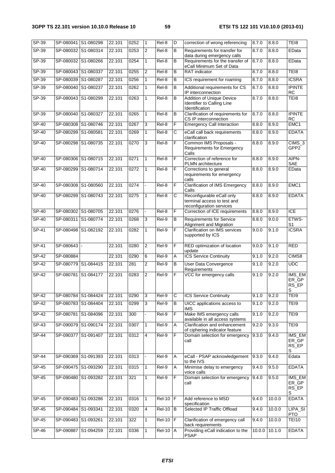| $SP-39$      | SP-080041 S1-080298 |                     | 22.101 | 0252 | 1              | Rel-8         | D                       | correction of wrong referencing                                                      | 8.7.0           | 8.8.0  | TEI8                                                        |
|--------------|---------------------|---------------------|--------|------|----------------|---------------|-------------------------|--------------------------------------------------------------------------------------|-----------------|--------|-------------------------------------------------------------|
| $SP-39$      |                     | SP-080032 S1-080314 | 22.101 | 0253 | $\sqrt{2}$     | Rel-8         | B                       | Requirements for transfer for<br>data during emergency calls                         | 8.7.0           | 8.8.0  | EData                                                       |
| SP-39        | SP-080032 S1-080266 |                     | 22.101 | 0254 | $\mathbf{1}$   | $Rel-8$       | В                       | Requirements for the transfer of<br>eCall Minimum Set of Data                        | 8.7.0           | 8.8.0  | EData                                                       |
| SP-39        | SP-080043 S1-080337 |                     | 22.101 | 0255 | $\overline{2}$ | $Rel-8$       | В                       | <b>RAT</b> indicator                                                                 | 8.7.0           | 8.8.0  | TEI8                                                        |
| SP-39        | SP-080039 S1-080287 |                     | 22.101 | 0256 | 1              | Rel-8         | B                       | ICS requirement for roaming                                                          | 8.7.0           | 8.8.0  | <b>ICSRA</b>                                                |
| $SP-39$      | SP-080040 S1-080237 |                     | 22.101 | 0262 | $\mathbf{1}$   | Rel-8         | В                       | Additional requirements for CS<br>IP interconnection                                 | 8.7.0           | 8.8.0  | <b>IPINTE</b><br><b>RC</b>                                  |
| $SP-39$      |                     | SP-080043 S1-080299 | 22.101 | 0263 | $\mathbf{1}$   | Rel-8         | $\overline{B}$          | <b>Addition of Unique Device</b><br>Identifier to Calling Line<br>Identification     | 8.7.0           | 8.8.0  | TEI8                                                        |
| <b>SP-39</b> | SP-080040 S1-080327 |                     | 22.101 | 0265 | 1              | Rel-8         | В                       | Clarification of requirements for<br>CS IP interconnection                           | 8.7.0           | 8.8.0  | <b>IPINTE</b><br>RC                                         |
| <b>SP-40</b> | SP-080308 S1-080746 |                     | 22.101 | 0267 | 3              | $Rel-8$       | F                       | <b>Emergency Call Interaction</b>                                                    | 8.8.0           | 8.9.0  | EMC1                                                        |
| <b>SP-40</b> | SP-080299 S1-080581 |                     | 22.101 | 0269 | $\mathbf{1}$   | $Rel-8$       | С                       | eCall call back requirements<br>clarification                                        | 8.8.0           | 8.9.0  | <b>EDATA</b>                                                |
| $SP-40$      | SP-080298 S1-080735 |                     | 22.101 | 0270 | 3              | Rel-8         | F                       | Common IMS Proposals -<br><b>Requirements for Emergency</b><br>Calls                 | 8.8.0           | 8.9.0  | $CIMS_3$<br>GPP2                                            |
| $SP-40$      |                     | SP-080306 S1-080715 | 22.101 | 0271 | $\mathbf{1}$   | $Rel-8$       | F                       | Correction of reference for<br>PLMN architecture                                     | 8.8.0           | 8.9.0  | AIPN-<br>SAE                                                |
| SP-40        | SP-080299           | S1-080714           | 22.101 | 0272 | $\mathbf{1}$   | Rel-8         | F                       | Corrections to general<br>requirements for emergency<br>calls                        | 8.8.0           | 8.9.0  | EData                                                       |
| SP-40        | SP-080308 S1-080560 |                     | 22.101 | 0274 |                | Rel-8         | F                       | Clarification of IMS Emergency<br>Calls                                              | 8.8.0           | 8.9.0  | EMC1                                                        |
| $SP-40$      | SP-080299           | S1-080743           | 22.101 | 0275 | $\mathbf{1}$   | $Rel-8$       | С                       | Reconfigurable eCall only<br>terminal access to test and<br>reconfiguration services | 8.8.0           | 8.9.0  | <b>EDATA</b>                                                |
| <b>SP-40</b> |                     | SP-080302 S1-080705 | 22.101 | 0276 |                | Rel-8         | F                       | Correction of ICE requirements                                                       | 8.8.0           | 8.9.0  | <b>ICE</b>                                                  |
| $SP-40$      |                     | SP-080311 S1-080774 | 22.101 | 0268 | $\overline{3}$ | Rel-9         | В                       | <b>Requirements for Service</b><br>Alignment and Migration                           | 8.8.0           | 9.0.0  | ETWS-<br>S1                                                 |
| SP-41        | SP-080498           | S1-082192           | 22.101 | 0282 | $\mathbf{1}$   | Rel-9         | F                       | Clarification on IMS services<br>supported by ICS                                    | 9.0.0           | 9.1.0  | <b>ICSRA</b>                                                |
| $SP-41$      | SP-080643           |                     | 22.101 | 0280 | $\sqrt{2}$     | $Rel-9$       | F                       | RED optimization of location<br>update                                               | 9.0.0           | 9.1.0  | <b>RED</b>                                                  |
| $SP-42$      | SP-080884           |                     | 22.101 | 0290 | 6              | Rel-9         | Α                       | <b>ICS Service Continuity</b>                                                        | 9.1.0           | 9.2.0  | CIMS8                                                       |
| $SP-42$      | SP-080779 S1-084415 |                     | 22.101 | 281  | $\overline{2}$ | $Rel-9$       | B                       | <b>User Data Convergence</b><br>Requirements                                         | 9.1.0           | 9.2.0  | UDC                                                         |
| $SP-42$      | SP-080781           | S1-084177           | 22.101 | 0283 | $\overline{2}$ | Rel-9         | F                       | VCC for emergency calls                                                              | 9.1.0           | 9.2.0  | IMS_EM<br>ER_GP<br>$RS$ <sub><math>E</math></sub> $P$<br>S. |
| $SP-42$      | SP-080784 S1-084424 |                     | 22.101 | 0290 | $\sqrt{3}$     | Rel-9         | C                       | ICS Service Continuity                                                               | 9.1.0           | 9.2.0  | TEI9                                                        |
| $SP-42$      | SP-080783 S1-084404 |                     | 22.101 | 0299 | 3              | $Rel-9$       | B                       | UICC applications access to<br><b>IMS</b>                                            | 9.1.0           | 9.2.0  | TEI9                                                        |
| $SP-42$      |                     | SP-080781 S1-084096 | 22.101 | 300  |                | $Rel-9$       | F                       | Make IMS emergency calls<br>available in all access systems                          | 9.1.0           | 9.2.0  | TEI9                                                        |
| $SP-43$      |                     | SP-090079 S1-090174 | 22.101 | 0307 | $\overline{1}$ | $Rel-9$       | Α                       | Clarification and enhancement<br>of ciphering indicator feature                      | 9.2.0           | 9.3.0  | TEI9                                                        |
| $SP-44$      | SP-090377 S1-091407 |                     | 22.101 | 0312 | $\overline{4}$ | Rel-9         | F                       | Domain selection for emergency<br>call                                               | 9.3.0           | 9.4.0  | IMS_EM<br>ER_GP<br>RS_EP<br>S                               |
| $SP-44$      |                     | SP-090369 S1-091393 | 22.101 | 0313 |                | Rel-9         | Α                       | eCall - PSAP acknowledgement<br>to the IVS                                           | 9.3.0           | 9.4.0  | Edata                                                       |
| $SP-45$      | SP-090475 S1-093290 |                     | 22.101 | 0315 | $\mathbf{1}$   | Rel-9         | Α                       | Minimise delay to emergency<br>voice calls                                           | 9.4.0           | 9.5.0  | <b>EDATA</b>                                                |
| SP-45        | SP-090480 S1-093282 |                     | 22.101 | 321  | $\mathbf{1}$   | Rel-9         | F                       | Domain selection for emergency<br>call                                               | 9.4.0           | 9.5.0  | IMS_EM<br>ER_GP<br>RS_EP<br>S                               |
| $SP-45$      |                     | SP-090483 S1-093286 | 22.101 | 0316 | $\mathbf{1}$   | $Rel-10$      | F                       | Add reference to MSD<br>specification                                                | 9.4.0           | 10.0.0 | <b>EDATA</b>                                                |
| SP-45        | SP-090484 S1-093341 |                     | 22.101 | 0320 | $\overline{4}$ | $Rel-10$      | B                       | Selected IP Traffic Offload                                                          | 9.4.0           | 10.00  | LIPA_SI<br><b>PTO</b>                                       |
| $SP-45$      | SP-090483 S1-093261 |                     | 22.101 | 322  | $\mathbf{1}$   | <b>Rel-10</b> | $\overline{\mathsf{F}}$ | Clarification of emergency call<br>back requirements                                 | 9.4.0           | 10.0.0 | <b>TEI10</b>                                                |
| SP-46        |                     | SP-090887 S1-094259 | 22.101 | 0336 | $\mathbf{1}$   | <b>Rel-10</b> | $\overline{A}$          | Providing eCall indication to the<br><b>PSAP</b>                                     | $10.0.0$ 10.1.0 |        | <b>EDATA</b>                                                |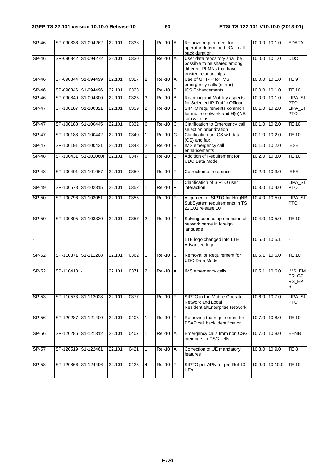| $SP-46$      | SP-090836 S1-094262 |                      | 22.101 | 0338 |                | $Rel-10$ $A$    |                | Remove requirement for<br>operator determined eCall call-<br>back duration.                                        | 10.0.0 10.1.0 |                | <b>EDATA</b>                       |
|--------------|---------------------|----------------------|--------|------|----------------|-----------------|----------------|--------------------------------------------------------------------------------------------------------------------|---------------|----------------|------------------------------------|
| SP-46        |                     | SP-090842 S1-094272  | 22.101 | 0330 | $\mathbf{1}$   | <b>Rel-10 A</b> |                | User data repository shall be<br>possible to be shared among<br>different PLMNs that have<br>trusted relationships | 10.0.0 10.1.0 |                | UDC                                |
| SP-46        |                     | SP-090844 S1-094499  | 22.101 | 0327 | $\overline{2}$ | <b>Rel-10</b>   | $\overline{A}$ | Use of GTT-IP for IMS<br>emergency calls (mirror)                                                                  |               | 10.0.0 10.1.0  | TEI9                               |
| $SP-46$      | SP-090846 S1-094496 |                      | 22.101 | 0328 | 1              | $Rel-10$        | B              | <b>ICS Enhancements</b>                                                                                            | 10.0.0        | 10.1.0         | <b>TEI10</b>                       |
| $SP-46$      |                     | SP-090849 S1-094300  | 22.101 | 0325 | $\overline{3}$ | <b>Rel-10</b>   | B              | Roaming and Mobility aspects<br>for Selected IP Traffic Offload                                                    | 10.0.0 10.1.0 |                | LIPA_SI<br><b>PTO</b>              |
| $SP-47$      | SP-100187 S1-100321 |                      | 22.101 | 0339 | $\overline{2}$ | $Rel-10$        | B              | SIPTO requirements common<br>for macro network and H(e)NB<br>subsystems                                            |               | 10.1.0 10.2.0  | LIPA_SI<br><b>PTO</b>              |
| $SP-47$      |                     | SP-100188 S1-100445  | 22.101 | 0332 | 6              | $Rel-10$        | C              | Clarification to Emergency call<br>selection prioritization                                                        | 10.1.0        | 10.2.0         | <b>TEI10</b>                       |
| $SP-47$      | SP-100188 S1-100442 |                      | 22.101 | 0340 | $\mathbf{1}$   | $Rel-10$        | $\overline{C}$ | Clarification on ICS wrt data<br>(CS) and fax                                                                      | 10.1.0        | 10.2.0         | <b>TEI10</b>                       |
| <b>SP-47</b> | SP-100191 S1-100431 |                      | 22.101 | 0343 | $\overline{2}$ | $Rel-10$        | Б              | IMS emergency call<br>enhancements                                                                                 | 10.1.0 10.2.0 |                | <b>IESE</b>                        |
| $SP-48$      |                     | SP-100431 S1-101060r | 22.101 | 0347 | 6              | $Rel-10$ $B$    |                | Addition of Requirement for<br><b>UDC Data Model</b>                                                               | 10.2.0        | 10.3.0         | <b>TEI10</b>                       |
| $SP-48$      | SP-100401 S1-101067 |                      | 22.101 | 0350 |                | $Rel-10$        | F              | Correction of reference                                                                                            | 10.2.0        | 10.3.0         | <b>IESE</b>                        |
| SP-49        | SP-100578 S1-102315 |                      | 22.101 | 0352 | $\mathbf{1}$   | <b>Rel-10</b>   | IF             | Clarification of SIPTO user<br>interaction                                                                         |               | 10.3.0 10.4.0  | LIPA_SI<br><b>PTO</b>              |
| SP-50        | SP-100796 S1-103051 |                      | 22.101 | 0355 |                | <b>Rel-10</b>   | F              | Alignment of SIPTO for H(e)NB<br>SubSystem requirements in TS<br>22.101 release 10                                 | 10.4.0        | 10.5.0         | LIPA_SI<br>PTO.                    |
| $SP-50$      | SP-100805 S1-103330 |                      | 22.101 | 0357 | 2              | $Rel-10$ $F$    |                | Solving user comprehension of<br>network name in foreign<br>language                                               | 10.4.0        | 10.5.0         | <b>TEI10</b>                       |
| $\mathbf{r}$ |                     |                      |        |      |                |                 |                | LTE logo changed into LTE<br>Advanced logo                                                                         | 10.5.0 10.5.1 |                | $\mathbb{Z}^{\mathbb{Z}}$          |
| $SP-52$      | SP-110371 S1-111208 |                      | 22.101 | 0362 | 1              | <b>Rel-10</b>   | C              | Removal of Requirement for<br><b>UDC Data Model</b>                                                                | 10.5.1        | 10.6.0         | <b>TEI10</b>                       |
| $SP-52$      | SP-110418 -         |                      | 22.101 | 0371 | $\overline{2}$ | $Rel-10$ $A$    |                | IMS emergency calls                                                                                                | 10.5.1 10.6.0 |                | IMS_EM<br>ER_GP<br>$RS$ $E$ P<br>S |
| SP-53        | SP-110573 S1-112028 |                      | 22.101 | 0377 | ä,             | $Rel-10$ $F$    |                | SIPTO in the Mobile Operator<br>Network and Local<br>Residential/Enterprise Network                                | 10.6.0 10.7.0 |                | LIPA_SI<br><b>PTO</b>              |
| SP-56        |                     | SP-120287 S1-121400  | 22.101 | 0405 | $\mathbf{1}$   | $Rel-10$ $F$    |                | Removing the requirement for<br>PSAP call back identification                                                      | 10.7.0 10.8.0 |                | <b>TEI10</b>                       |
| $SP-56$      |                     | SP-120286 S1-121312  | 22.101 | 0407 | $\mathbf{1}$   | <b>Rel-10</b>   | A              | Emergency calls from non CSG<br>members in CSG cells                                                               | 10.7.0 10.8.0 |                | <b>EHNB</b>                        |
| SP-57        | SP-120519 S1-122461 |                      | 22.101 | 0421 | 1              | <b>Rel-10 A</b> |                | Correction of UE mandatory<br>features                                                                             |               | 10.8.0 10.9.0  | TEI8                               |
| SP-58        | SP-120866 S1-124496 |                      | 22.101 | 0425 | $\overline{4}$ | $Rel-10$        |                | SIPTO per APN for pre-Rel 10<br>UEs                                                                                |               | 10.9.0 10.10.0 | <b>TEI10</b>                       |